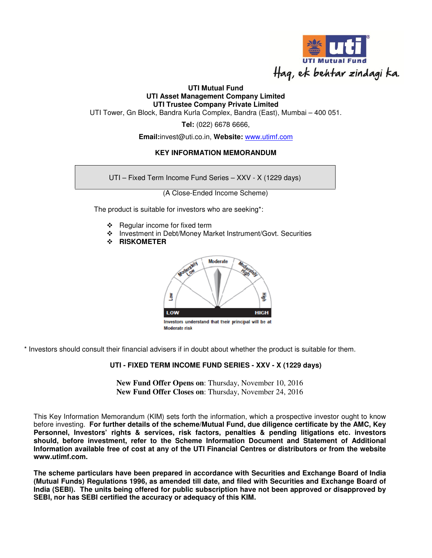

## **UTI Mutual Fund UTI Asset Management Company Limited UTI Trustee Company Private Limited**

UTI Tower, Gn Block, Bandra Kurla Complex, Bandra (East), Mumbai – 400 051.

**Tel:** (022) 6678 6666,

**Email:**invest@uti.co.in, **Website:** www.utimf.com

# **KEY INFORMATION MEMORANDUM**

UTI – Fixed Term Income Fund Series – XXV - X (1229 days)

(A Close-Ended Income Scheme)

The product is suitable for investors who are seeking\*:

- $\div$  Regular income for fixed term
- Investment in Debt/Money Market Instrument/Govt. Securities
- **RISKOMETER**



\* Investors should consult their financial advisers if in doubt about whether the product is suitable for them.

# **UTI - FIXED TERM INCOME FUND SERIES - XXV - X (1229 days)**

**New Fund Offer Opens on**: Thursday, November 10, 2016 **New Fund Offer Closes on**: Thursday, November 24, 2016

This Key Information Memorandum (KIM) sets forth the information, which a prospective investor ought to know before investing. **For further details of the scheme/Mutual Fund, due diligence certificate by the AMC, Key Personnel, Investors' rights & services, risk factors, penalties & pending litigations etc. investors should, before investment, refer to the Scheme Information Document and Statement of Additional Information available free of cost at any of the UTI Financial Centres or distributors or from the website www.utimf.com.** 

**The scheme particulars have been prepared in accordance with Securities and Exchange Board of India (Mutual Funds) Regulations 1996, as amended till date, and filed with Securities and Exchange Board of India (SEBI). The units being offered for public subscription have not been approved or disapproved by SEBI, nor has SEBI certified the accuracy or adequacy of this KIM.**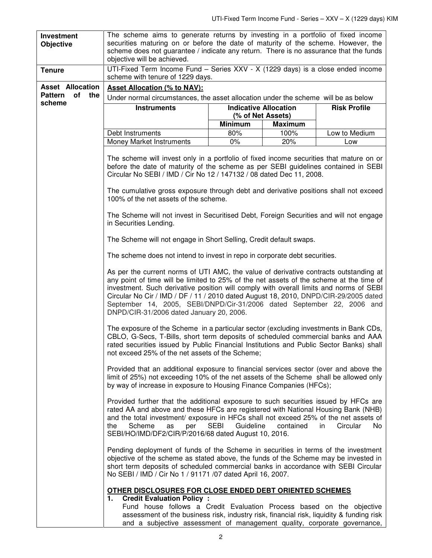| Investment                  | The scheme aims to generate returns by investing in a portfolio of fixed income                                                                                                                                                                                                                                                                                                                                                                                                                                                                                                                                                                                                                                                                                                                                                                                                                                                                                                                                                                                              |                              |                |                     |  |
|-----------------------------|------------------------------------------------------------------------------------------------------------------------------------------------------------------------------------------------------------------------------------------------------------------------------------------------------------------------------------------------------------------------------------------------------------------------------------------------------------------------------------------------------------------------------------------------------------------------------------------------------------------------------------------------------------------------------------------------------------------------------------------------------------------------------------------------------------------------------------------------------------------------------------------------------------------------------------------------------------------------------------------------------------------------------------------------------------------------------|------------------------------|----------------|---------------------|--|
| <b>Objective</b>            | securities maturing on or before the date of maturity of the scheme. However, the                                                                                                                                                                                                                                                                                                                                                                                                                                                                                                                                                                                                                                                                                                                                                                                                                                                                                                                                                                                            |                              |                |                     |  |
|                             | scheme does not guarantee / indicate any return. There is no assurance that the funds<br>objective will be achieved.                                                                                                                                                                                                                                                                                                                                                                                                                                                                                                                                                                                                                                                                                                                                                                                                                                                                                                                                                         |                              |                |                     |  |
|                             |                                                                                                                                                                                                                                                                                                                                                                                                                                                                                                                                                                                                                                                                                                                                                                                                                                                                                                                                                                                                                                                                              |                              |                |                     |  |
| <b>Tenure</b>               | UTI-Fixed Term Income Fund - Series XXV - X (1229 days) is a close ended income<br>scheme with tenure of 1229 days.                                                                                                                                                                                                                                                                                                                                                                                                                                                                                                                                                                                                                                                                                                                                                                                                                                                                                                                                                          |                              |                |                     |  |
| <b>Asset Allocation</b>     | <b>Asset Allocation (% to NAV):</b>                                                                                                                                                                                                                                                                                                                                                                                                                                                                                                                                                                                                                                                                                                                                                                                                                                                                                                                                                                                                                                          |                              |                |                     |  |
| <b>Pattern</b><br>of<br>the | Under normal circumstances, the asset allocation under the scheme will be as below                                                                                                                                                                                                                                                                                                                                                                                                                                                                                                                                                                                                                                                                                                                                                                                                                                                                                                                                                                                           |                              |                |                     |  |
| scheme                      | <b>Instruments</b>                                                                                                                                                                                                                                                                                                                                                                                                                                                                                                                                                                                                                                                                                                                                                                                                                                                                                                                                                                                                                                                           | <b>Indicative Allocation</b> |                | <b>Risk Profile</b> |  |
|                             |                                                                                                                                                                                                                                                                                                                                                                                                                                                                                                                                                                                                                                                                                                                                                                                                                                                                                                                                                                                                                                                                              | (% of Net Assets)            |                |                     |  |
|                             |                                                                                                                                                                                                                                                                                                                                                                                                                                                                                                                                                                                                                                                                                                                                                                                                                                                                                                                                                                                                                                                                              | <b>Minimum</b>               | <b>Maximum</b> |                     |  |
|                             | Debt Instruments                                                                                                                                                                                                                                                                                                                                                                                                                                                                                                                                                                                                                                                                                                                                                                                                                                                                                                                                                                                                                                                             | 80%                          | 100%           | Low to Medium       |  |
|                             | <b>Money Market Instruments</b>                                                                                                                                                                                                                                                                                                                                                                                                                                                                                                                                                                                                                                                                                                                                                                                                                                                                                                                                                                                                                                              | $0\%$                        | 20%            | Low                 |  |
|                             | The scheme will invest only in a portfolio of fixed income securities that mature on or<br>before the date of maturity of the scheme as per SEBI guidelines contained in SEBI<br>Circular No SEBI / IMD / Cir No 12 / 147132 / 08 dated Dec 11, 2008.<br>The cumulative gross exposure through debt and derivative positions shall not exceed                                                                                                                                                                                                                                                                                                                                                                                                                                                                                                                                                                                                                                                                                                                                |                              |                |                     |  |
|                             | 100% of the net assets of the scheme.<br>The Scheme will not invest in Securitised Debt, Foreign Securities and will not engage<br>in Securities Lending.                                                                                                                                                                                                                                                                                                                                                                                                                                                                                                                                                                                                                                                                                                                                                                                                                                                                                                                    |                              |                |                     |  |
|                             | The Scheme will not engage in Short Selling, Credit default swaps.                                                                                                                                                                                                                                                                                                                                                                                                                                                                                                                                                                                                                                                                                                                                                                                                                                                                                                                                                                                                           |                              |                |                     |  |
|                             | The scheme does not intend to invest in repo in corporate debt securities.                                                                                                                                                                                                                                                                                                                                                                                                                                                                                                                                                                                                                                                                                                                                                                                                                                                                                                                                                                                                   |                              |                |                     |  |
|                             | As per the current norms of UTI AMC, the value of derivative contracts outstanding at<br>any point of time will be limited to 25% of the net assets of the scheme at the time of<br>investment. Such derivative position will comply with overall limits and norms of SEBI<br>Circular No Cir / IMD / DF / 11 / 2010 dated August 18, 2010, DNPD/CIR-29/2005 dated<br>September 14, 2005, SEBI/DNPD/Cir-31/2006 dated September 22, 2006 and<br>DNPD/CIR-31/2006 dated January 20, 2006.<br>The exposure of the Scheme in a particular sector (excluding investments in Bank CDs,<br>CBLO, G-Secs, T-Bills, short term deposits of scheduled commercial banks and AAA<br>rated securities issued by Public Financial Institutions and Public Sector Banks) shall<br>not exceed 25% of the net assets of the Scheme;<br>Provided that an additional exposure to financial services sector (over and above the<br>limit of 25%) not exceeding 10% of the net assets of the Scheme shall be allowed only<br>by way of increase in exposure to Housing Finance Companies (HFCs); |                              |                |                     |  |
|                             |                                                                                                                                                                                                                                                                                                                                                                                                                                                                                                                                                                                                                                                                                                                                                                                                                                                                                                                                                                                                                                                                              |                              |                |                     |  |
|                             |                                                                                                                                                                                                                                                                                                                                                                                                                                                                                                                                                                                                                                                                                                                                                                                                                                                                                                                                                                                                                                                                              |                              |                |                     |  |
|                             | Provided further that the additional exposure to such securities issued by HFCs are<br>rated AA and above and these HFCs are registered with National Housing Bank (NHB)<br>and the total investment/ exposure in HFCs shall not exceed 25% of the net assets of<br>Scheme<br>Guideline<br>contained<br>the<br><b>SEBI</b><br>in.<br>Circular<br>No.<br>as<br>per<br>SEBI/HO/IMD/DF2/CIR/P/2016/68 dated August 10, 2016.<br>Pending deployment of funds of the Scheme in securities in terms of the investment<br>objective of the scheme as stated above, the funds of the Scheme may be invested in<br>short term deposits of scheduled commercial banks in accordance with SEBI Circular<br>No SEBI / IMD / Cir No 1 / 91171 /07 dated April 16, 2007.                                                                                                                                                                                                                                                                                                                   |                              |                |                     |  |
|                             |                                                                                                                                                                                                                                                                                                                                                                                                                                                                                                                                                                                                                                                                                                                                                                                                                                                                                                                                                                                                                                                                              |                              |                |                     |  |
|                             | OTHER DISCLOSURES FOR CLOSE ENDED DEBT ORIENTED SCHEMES<br><b>Credit Evaluation Policy:</b><br>1.                                                                                                                                                                                                                                                                                                                                                                                                                                                                                                                                                                                                                                                                                                                                                                                                                                                                                                                                                                            |                              |                |                     |  |
|                             | Fund house follows a Credit Evaluation Process based on the objective<br>assessment of the business risk, industry risk, financial risk, liquidity & funding risk                                                                                                                                                                                                                                                                                                                                                                                                                                                                                                                                                                                                                                                                                                                                                                                                                                                                                                            |                              |                |                     |  |

and a subjective assessment of management quality, corporate governance,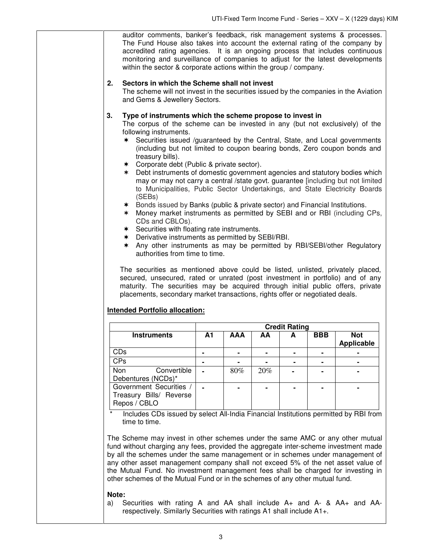| auditor comments, banker's feedback, risk management systems & processes.<br>The Fund House also takes into account the external rating of the company by<br>accredited rating agencies. It is an ongoing process that includes continuous<br>monitoring and surveillance of companies to adjust for the latest developments<br>within the sector & corporate actions within the group / company.                                                                                                                                                                                                                                                                                                                                                                                                                                                                                                                                                                                                                                                                                                                                                                                                                                                                                                                                                                                                                                       |    |            |     |                      |            |                                 |
|-----------------------------------------------------------------------------------------------------------------------------------------------------------------------------------------------------------------------------------------------------------------------------------------------------------------------------------------------------------------------------------------------------------------------------------------------------------------------------------------------------------------------------------------------------------------------------------------------------------------------------------------------------------------------------------------------------------------------------------------------------------------------------------------------------------------------------------------------------------------------------------------------------------------------------------------------------------------------------------------------------------------------------------------------------------------------------------------------------------------------------------------------------------------------------------------------------------------------------------------------------------------------------------------------------------------------------------------------------------------------------------------------------------------------------------------|----|------------|-----|----------------------|------------|---------------------------------|
| 2.<br>Sectors in which the Scheme shall not invest<br>The scheme will not invest in the securities issued by the companies in the Aviation<br>and Gems & Jewellery Sectors.                                                                                                                                                                                                                                                                                                                                                                                                                                                                                                                                                                                                                                                                                                                                                                                                                                                                                                                                                                                                                                                                                                                                                                                                                                                             |    |            |     |                      |            |                                 |
| Type of instruments which the scheme propose to invest in<br>3.<br>The corpus of the scheme can be invested in any (but not exclusively) of the<br>following instruments.<br>Securities issued /guaranteed by the Central, State, and Local governments<br>∗<br>(including but not limited to coupon bearing bonds, Zero coupon bonds and<br>treasury bills).<br>* Corporate debt (Public & private sector).<br>* Debt instruments of domestic government agencies and statutory bodies which<br>may or may not carry a central /state govt. guarantee [including but not limited<br>to Municipalities, Public Sector Undertakings, and State Electricity Boards<br>(SEBs)<br>* Bonds issued by Banks (public & private sector) and Financial Institutions.<br>Money market instruments as permitted by SEBI and or RBI (including CPs,<br>$\ast$<br>CDs and CBLOs).<br>* Securities with floating rate instruments.<br>* Derivative instruments as permitted by SEBI/RBI.<br>Any other instruments as may be permitted by RBI/SEBI/other Regulatory<br>$\ast$<br>authorities from time to time.<br>The securities as mentioned above could be listed, unlisted, privately placed,<br>secured, unsecured, rated or unrated (post investment in portfolio) and of any<br>maturity. The securities may be acquired through initial public offers, private<br>placements, secondary market transactions, rights offer or negotiated deals. |    |            |     |                      |            |                                 |
|                                                                                                                                                                                                                                                                                                                                                                                                                                                                                                                                                                                                                                                                                                                                                                                                                                                                                                                                                                                                                                                                                                                                                                                                                                                                                                                                                                                                                                         |    |            |     | <b>Credit Rating</b> |            |                                 |
| <b>Instruments</b>                                                                                                                                                                                                                                                                                                                                                                                                                                                                                                                                                                                                                                                                                                                                                                                                                                                                                                                                                                                                                                                                                                                                                                                                                                                                                                                                                                                                                      | A1 | <b>AAA</b> | AA  | A                    | <b>BBB</b> | <b>Not</b><br><b>Applicable</b> |
| CDs                                                                                                                                                                                                                                                                                                                                                                                                                                                                                                                                                                                                                                                                                                                                                                                                                                                                                                                                                                                                                                                                                                                                                                                                                                                                                                                                                                                                                                     |    |            |     |                      |            |                                 |
| CPs                                                                                                                                                                                                                                                                                                                                                                                                                                                                                                                                                                                                                                                                                                                                                                                                                                                                                                                                                                                                                                                                                                                                                                                                                                                                                                                                                                                                                                     |    |            |     |                      |            |                                 |
| Convertible<br>Non<br>Debentures (NCDs)*                                                                                                                                                                                                                                                                                                                                                                                                                                                                                                                                                                                                                                                                                                                                                                                                                                                                                                                                                                                                                                                                                                                                                                                                                                                                                                                                                                                                |    | 80%        | 20% |                      |            |                                 |
| Government Securities /<br>Treasury Bills/ Reverse<br>Repos / CBLO                                                                                                                                                                                                                                                                                                                                                                                                                                                                                                                                                                                                                                                                                                                                                                                                                                                                                                                                                                                                                                                                                                                                                                                                                                                                                                                                                                      |    |            |     |                      |            |                                 |
| Includes CDs issued by select All-India Financial Institutions permitted by RBI from<br>time to time.<br>The Scheme may invest in other schemes under the same AMC or any other mutual<br>fund without charging any fees, provided the aggregate inter-scheme investment made<br>by all the schemes under the same management or in schemes under management of                                                                                                                                                                                                                                                                                                                                                                                                                                                                                                                                                                                                                                                                                                                                                                                                                                                                                                                                                                                                                                                                         |    |            |     |                      |            |                                 |

by all the schemes under the same management or in schemes under management of any other asset management company shall not exceed 5% of the net asset value of the Mutual Fund. No investment management fees shall be charged for investing in other schemes of the Mutual Fund or in the schemes of any other mutual fund.

#### **Note:**

a)Securities with rating A and AA shall include A+ and A- & AA+ and AArespectively. Similarly Securities with ratings A1 shall include A1+.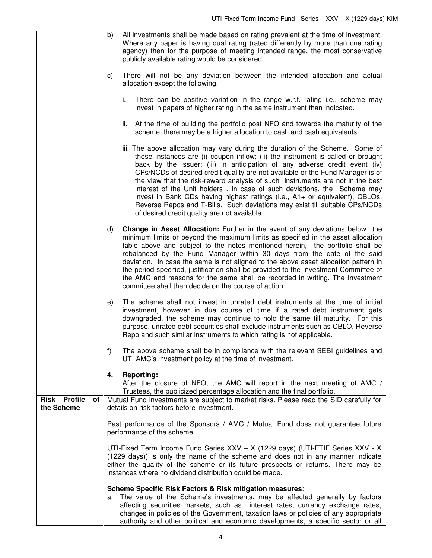|                                         | All investments shall be made based on rating prevalent at the time of investment.<br>b)<br>Where any paper is having dual rating (rated differently by more than one rating<br>agency) then for the purpose of meeting intended range, the most conservative<br>publicly available rating would be considered.                                                                                                                                                                                                                                                                                                                                                                                              |
|-----------------------------------------|--------------------------------------------------------------------------------------------------------------------------------------------------------------------------------------------------------------------------------------------------------------------------------------------------------------------------------------------------------------------------------------------------------------------------------------------------------------------------------------------------------------------------------------------------------------------------------------------------------------------------------------------------------------------------------------------------------------|
|                                         | There will not be any deviation between the intended allocation and actual<br>C)<br>allocation except the following.                                                                                                                                                                                                                                                                                                                                                                                                                                                                                                                                                                                         |
|                                         | There can be positive variation in the range w.r.t. rating i.e., scheme may<br>i.<br>invest in papers of higher rating in the same instrument than indicated.                                                                                                                                                                                                                                                                                                                                                                                                                                                                                                                                                |
|                                         | ii. At the time of building the portfolio post NFO and towards the maturity of the<br>scheme, there may be a higher allocation to cash and cash equivalents.                                                                                                                                                                                                                                                                                                                                                                                                                                                                                                                                                 |
|                                         | iii. The above allocation may vary during the duration of the Scheme. Some of<br>these instances are (i) coupon inflow; (ii) the instrument is called or brought<br>back by the issuer; (iii) in anticipation of any adverse credit event (iv)<br>CPs/NCDs of desired credit quality are not available or the Fund Manager is of<br>the view that the risk-reward analysis of such instruments are not in the best<br>interest of the Unit holders. In case of such deviations, the Scheme may<br>invest in Bank CDs having highest ratings (i.e., A1+ or equivalent), CBLOs,<br>Reverse Repos and T-Bills. Such deviations may exist till suitable CPs/NCDs<br>of desired credit quality are not available. |
|                                         | <b>Change in Asset Allocation:</b> Further in the event of any deviations below the<br>d)<br>minimum limits or beyond the maximum limits as specified in the asset allocation<br>table above and subject to the notes mentioned herein, the portfolio shall be<br>rebalanced by the Fund Manager within 30 days from the date of the said<br>deviation. In case the same is not aligned to the above asset allocation pattern in<br>the period specified, justification shall be provided to the Investment Committee of<br>the AMC and reasons for the same shall be recorded in writing. The Investment<br>committee shall then decide on the course of action.                                            |
|                                         | The scheme shall not invest in unrated debt instruments at the time of initial<br>e)<br>investment, however in due course of time if a rated debt instrument gets<br>downgraded, the scheme may continue to hold the same till maturity. For this<br>purpose, unrated debt securities shall exclude instruments such as CBLO, Reverse<br>Repo and such similar instruments to which rating is not applicable.                                                                                                                                                                                                                                                                                                |
|                                         | f)<br>The above scheme shall be in compliance with the relevant SEBI guidelines and<br>UTI AMC's investment policy at the time of investment.                                                                                                                                                                                                                                                                                                                                                                                                                                                                                                                                                                |
|                                         | <b>Reporting:</b><br>4.<br>After the closure of NFO, the AMC will report in the next meeting of AMC /<br>Trustees, the publicized percentage allocation and the final portfolio.                                                                                                                                                                                                                                                                                                                                                                                                                                                                                                                             |
| <b>Risk Profile</b><br>оf<br>the Scheme | Mutual Fund investments are subject to market risks. Please read the SID carefully for<br>details on risk factors before investment.                                                                                                                                                                                                                                                                                                                                                                                                                                                                                                                                                                         |
|                                         | Past performance of the Sponsors / AMC / Mutual Fund does not guarantee future<br>performance of the scheme.                                                                                                                                                                                                                                                                                                                                                                                                                                                                                                                                                                                                 |
|                                         | UTI-Fixed Term Income Fund Series XXV - X (1229 days) (UTI-FTIF Series XXV - X<br>(1229 days)) is only the name of the scheme and does not in any manner indicate<br>either the quality of the scheme or its future prospects or returns. There may be<br>instances where no dividend distribution could be made.                                                                                                                                                                                                                                                                                                                                                                                            |
|                                         | Scheme Specific Risk Factors & Risk mitigation measures:<br>The value of the Scheme's investments, may be affected generally by factors<br>а.<br>affecting securities markets, such as interest rates, currency exchange rates,<br>changes in policies of the Government, taxation laws or policies of any appropriate<br>authority and other political and economic developments, a specific sector or all                                                                                                                                                                                                                                                                                                  |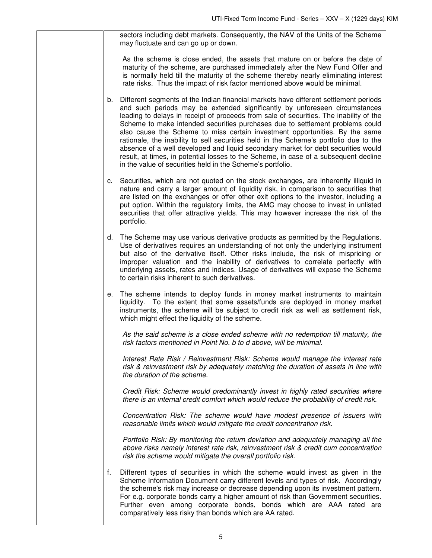sectors including debt markets. Consequently, the NAV of the Units of the Scheme may fluctuate and can go up or down.

As the scheme is close ended, the assets that mature on or before the date of maturity of the scheme, are purchased immediately after the New Fund Offer and is normally held till the maturity of the scheme thereby nearly eliminating interest rate risks. Thus the impact of risk factor mentioned above would be minimal.

- b. Different segments of the Indian financial markets have different settlement periods and such periods may be extended significantly by unforeseen circumstances leading to delays in receipt of proceeds from sale of securities. The inability of the Scheme to make intended securities purchases due to settlement problems could also cause the Scheme to miss certain investment opportunities. By the same rationale, the inability to sell securities held in the Scheme's portfolio due to the absence of a well developed and liquid secondary market for debt securities would result, at times, in potential losses to the Scheme, in case of a subsequent decline in the value of securities held in the Scheme's portfolio.
- c. Securities, which are not quoted on the stock exchanges, are inherently illiquid in nature and carry a larger amount of liquidity risk, in comparison to securities that are listed on the exchanges or offer other exit options to the investor, including a put option. Within the regulatory limits, the AMC may choose to invest in unlisted securities that offer attractive yields. This may however increase the risk of the portfolio.
- d. The Scheme may use various derivative products as permitted by the Regulations. Use of derivatives requires an understanding of not only the underlying instrument but also of the derivative itself. Other risks include, the risk of mispricing or improper valuation and the inability of derivatives to correlate perfectly with underlying assets, rates and indices. Usage of derivatives will expose the Scheme to certain risks inherent to such derivatives.
- e. The scheme intends to deploy funds in money market instruments to maintain liquidity. To the extent that some assets/funds are deployed in money market instruments, the scheme will be subject to credit risk as well as settlement risk, which might effect the liquidity of the scheme.

As the said scheme is a close ended scheme with no redemption till maturity, the risk factors mentioned in Point No. b to d above, will be minimal.

 Interest Rate Risk / Reinvestment Risk: Scheme would manage the interest rate risk & reinvestment risk by adequately matching the duration of assets in line with the duration of the scheme.

 Credit Risk: Scheme would predominantly invest in highly rated securities where there is an internal credit comfort which would reduce the probability of credit risk.

 Concentration Risk: The scheme would have modest presence of issuers with reasonable limits which would mitigate the credit concentration risk.

 Portfolio Risk: By monitoring the return deviation and adequately managing all the above risks namely interest rate risk, reinvestment risk & credit cum concentration risk the scheme would mitigate the overall portfolio risk.

f. Different types of securities in which the scheme would invest as given in the Scheme Information Document carry different levels and types of risk. Accordingly the scheme's risk may increase or decrease depending upon its investment pattern. For e.g. corporate bonds carry a higher amount of risk than Government securities. Further even among corporate bonds, bonds which are AAA rated are comparatively less risky than bonds which are AA rated.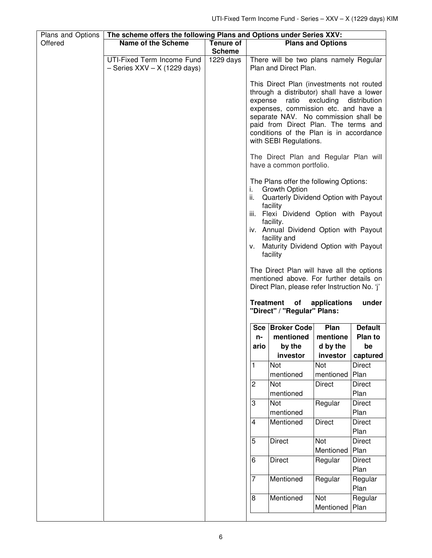| Plans and Options | The scheme offers the following Plans and Options under Series XXV: |                  |                               |                                                                                                                                                                                                                                                                                                                                                                                                                                                                                                |                          |                         |
|-------------------|---------------------------------------------------------------------|------------------|-------------------------------|------------------------------------------------------------------------------------------------------------------------------------------------------------------------------------------------------------------------------------------------------------------------------------------------------------------------------------------------------------------------------------------------------------------------------------------------------------------------------------------------|--------------------------|-------------------------|
| Offered           | <b>Name of the Scheme</b>                                           | <b>Tenure of</b> |                               |                                                                                                                                                                                                                                                                                                                                                                                                                                                                                                | <b>Plans and Options</b> |                         |
|                   |                                                                     | <b>Scheme</b>    |                               |                                                                                                                                                                                                                                                                                                                                                                                                                                                                                                |                          |                         |
|                   | UTI-Fixed Term Income Fund<br>$-$ Series XXV $-$ X (1229 days)      | 1229 days        |                               | There will be two plans namely Regular<br>Plan and Direct Plan.                                                                                                                                                                                                                                                                                                                                                                                                                                |                          |                         |
|                   |                                                                     |                  | expense                       | This Direct Plan (investments not routed<br>through a distributor) shall have a lower<br>ratio<br>expenses, commission etc. and have a<br>separate NAV. No commission shall be<br>paid from Direct Plan. The terms and<br>conditions of the Plan is in accordance<br>with SEBI Regulations.                                                                                                                                                                                                    | excluding                | distribution            |
|                   |                                                                     |                  |                               | The Direct Plan and Regular Plan will<br>have a common portfolio.                                                                                                                                                                                                                                                                                                                                                                                                                              |                          |                         |
|                   |                                                                     |                  | Ĺ.<br>II.<br><b>Treatment</b> | The Plans offer the following Options:<br><b>Growth Option</b><br>Quarterly Dividend Option with Payout<br>facility<br>iii. Flexi Dividend Option with Payout<br>facility.<br>iv. Annual Dividend Option with Payout<br>facility and<br>v. Maturity Dividend Option with Payout<br>facility<br>The Direct Plan will have all the options<br>mentioned above. For further details on<br>Direct Plan, please refer Instruction No. 'j'<br>of<br>"Direct" / "Regular" Plans:<br>Sce   Broker Code | applications<br>Plan     | under<br><b>Default</b> |
|                   |                                                                     |                  |                               | mentioned                                                                                                                                                                                                                                                                                                                                                                                                                                                                                      | mentione                 | Plan to                 |
|                   |                                                                     |                  | n-                            |                                                                                                                                                                                                                                                                                                                                                                                                                                                                                                |                          |                         |
|                   |                                                                     |                  | ario                          | by the                                                                                                                                                                                                                                                                                                                                                                                                                                                                                         | d by the                 | he                      |
|                   |                                                                     |                  |                               | investor                                                                                                                                                                                                                                                                                                                                                                                                                                                                                       | investor                 | captured                |
|                   |                                                                     |                  | $\mathbf{1}$                  | Not<br>mentioned                                                                                                                                                                                                                                                                                                                                                                                                                                                                               | Not<br>mentioned         | <b>Direct</b><br>Plan   |
|                   |                                                                     |                  | $\overline{\mathbf{c}}$       | Not<br>mentioned                                                                                                                                                                                                                                                                                                                                                                                                                                                                               | <b>Direct</b>            | <b>Direct</b><br>Plan   |
|                   |                                                                     |                  | $\overline{\omega}$           | Not<br>mentioned                                                                                                                                                                                                                                                                                                                                                                                                                                                                               | Regular                  | <b>Direct</b><br>Plan   |
|                   |                                                                     |                  | $\overline{\mathbf{4}}$       | Mentioned                                                                                                                                                                                                                                                                                                                                                                                                                                                                                      | <b>Direct</b>            | <b>Direct</b>           |
|                   |                                                                     |                  |                               |                                                                                                                                                                                                                                                                                                                                                                                                                                                                                                |                          | Plan                    |
|                   |                                                                     |                  | $5\overline{)}$               | <b>Direct</b>                                                                                                                                                                                                                                                                                                                                                                                                                                                                                  | Not<br>Mentioned         | <b>Direct</b><br>Plan   |
|                   |                                                                     |                  | $\,$ 6                        | <b>Direct</b>                                                                                                                                                                                                                                                                                                                                                                                                                                                                                  | Regular                  | <b>Direct</b><br>Plan   |
|                   |                                                                     |                  | $\overline{7}$                | Mentioned                                                                                                                                                                                                                                                                                                                                                                                                                                                                                      | Regular                  | Regular<br>Plan         |
|                   |                                                                     |                  | $\overline{8}$                | Mentioned                                                                                                                                                                                                                                                                                                                                                                                                                                                                                      | Not<br>Mentioned         | Regular<br>Plan         |
|                   |                                                                     |                  |                               |                                                                                                                                                                                                                                                                                                                                                                                                                                                                                                |                          |                         |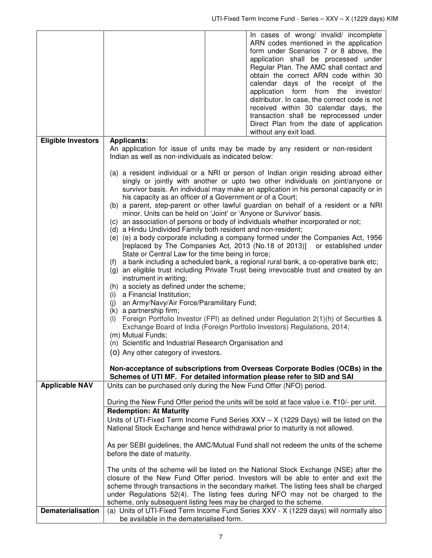|                           |                                                                                                                                                                                                                                                                                                                                                                                                                                                                                                                                                                                      | In cases of wrong/ invalid/ incomplete<br>ARN codes mentioned in the application<br>form under Scenarios 7 or 8 above, the<br>application shall be processed under<br>Regular Plan. The AMC shall contact and<br>obtain the correct ARN code within 30<br>calendar days of the receipt of the<br>application form from the investor/<br>distributor. In case, the correct code is not<br>received within 30 calendar days, the<br>transaction shall be reprocessed under<br>Direct Plan from the date of application<br>without any exit load.                                                                                                                                                                                                                                                                                                                                                                                                                                                                                                      |
|---------------------------|--------------------------------------------------------------------------------------------------------------------------------------------------------------------------------------------------------------------------------------------------------------------------------------------------------------------------------------------------------------------------------------------------------------------------------------------------------------------------------------------------------------------------------------------------------------------------------------|-----------------------------------------------------------------------------------------------------------------------------------------------------------------------------------------------------------------------------------------------------------------------------------------------------------------------------------------------------------------------------------------------------------------------------------------------------------------------------------------------------------------------------------------------------------------------------------------------------------------------------------------------------------------------------------------------------------------------------------------------------------------------------------------------------------------------------------------------------------------------------------------------------------------------------------------------------------------------------------------------------------------------------------------------------|
| <b>Eligible Investors</b> | <b>Applicants:</b>                                                                                                                                                                                                                                                                                                                                                                                                                                                                                                                                                                   |                                                                                                                                                                                                                                                                                                                                                                                                                                                                                                                                                                                                                                                                                                                                                                                                                                                                                                                                                                                                                                                     |
|                           | Indian as well as non-individuals as indicated below:                                                                                                                                                                                                                                                                                                                                                                                                                                                                                                                                | An application for issue of units may be made by any resident or non-resident                                                                                                                                                                                                                                                                                                                                                                                                                                                                                                                                                                                                                                                                                                                                                                                                                                                                                                                                                                       |
|                           | his capacity as an officer of a Government or of a Court;<br>minor. Units can be held on 'Joint' or 'Anyone or Survivor' basis.<br>(d) a Hindu Undivided Family both resident and non-resident;<br>State or Central Law for the time being in force;<br>(f)<br>instrument in writing;<br>(h) a society as defined under the scheme;<br>a Financial Institution;<br>(i)<br>an Army/Navy/Air Force/Paramilitary Fund;<br>(i)<br>(k) a partnership firm;<br>(1)<br>(m) Mutual Funds;<br>(n) Scientific and Industrial Research Organisation and<br>(0) Any other category of investors. | (a) a resident individual or a NRI or person of Indian origin residing abroad either<br>singly or jointly with another or upto two other individuals on joint/anyone or<br>survivor basis. An individual may make an application in his personal capacity or in<br>(b) a parent, step-parent or other lawful guardian on behalf of a resident or a NRI<br>(c) an association of persons or body of individuals whether incorporated or not;<br>(e) (e) a body corporate including a company formed under the Companies Act, 1956<br>[replaced by The Companies Act, 2013 (No.18 of 2013)] or established under<br>a bank including a scheduled bank, a regional rural bank, a co-operative bank etc;<br>(g) an eligible trust including Private Trust being irrevocable trust and created by an<br>Foreign Portfolio Investor (FPI) as defined under Regulation 2(1)(h) of Securities &<br>Exchange Board of India (Foreign Portfolio Investors) Regulations, 2014;<br>Non-acceptance of subscriptions from Overseas Corporate Bodies (OCBs) in the |
| <b>Applicable NAV</b>     | Units can be purchased only during the New Fund Offer (NFO) period.                                                                                                                                                                                                                                                                                                                                                                                                                                                                                                                  | Schemes of UTI MF. For detailed information please refer to SID and SAI                                                                                                                                                                                                                                                                                                                                                                                                                                                                                                                                                                                                                                                                                                                                                                                                                                                                                                                                                                             |
|                           | <b>Redemption: At Maturity</b><br>before the date of maturity.                                                                                                                                                                                                                                                                                                                                                                                                                                                                                                                       | During the New Fund Offer period the units will be sold at face value i.e. ₹10/- per unit.<br>Units of UTI-Fixed Term Income Fund Series $XXV - X$ (1229 Days) will be listed on the<br>National Stock Exchange and hence withdrawal prior to maturity is not allowed.<br>As per SEBI guidelines, the AMC/Mutual Fund shall not redeem the units of the scheme<br>The units of the scheme will be listed on the National Stock Exchange (NSE) after the<br>closure of the New Fund Offer period. Investors will be able to enter and exit the<br>scheme through transactions in the secondary market. The listing fees shall be charged                                                                                                                                                                                                                                                                                                                                                                                                             |
|                           | scheme, only subsequent listing fees may be charged to the scheme.                                                                                                                                                                                                                                                                                                                                                                                                                                                                                                                   | under Regulations 52(4). The listing fees during NFO may not be charged to the                                                                                                                                                                                                                                                                                                                                                                                                                                                                                                                                                                                                                                                                                                                                                                                                                                                                                                                                                                      |
| <b>Dematerialisation</b>  | be available in the dematerialised form.                                                                                                                                                                                                                                                                                                                                                                                                                                                                                                                                             | (a) Units of UTI-Fixed Term Income Fund Series XXV - X (1229 days) will normally also                                                                                                                                                                                                                                                                                                                                                                                                                                                                                                                                                                                                                                                                                                                                                                                                                                                                                                                                                               |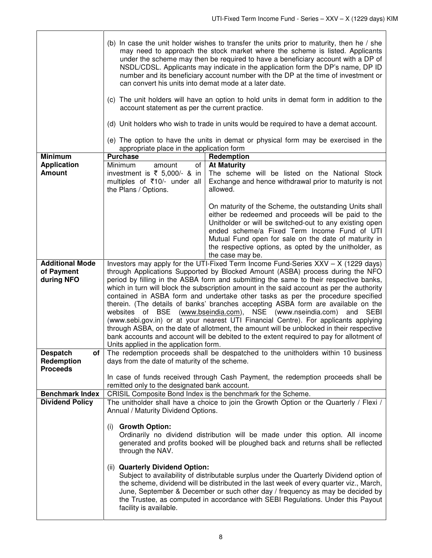|                                                       | (b) In case the unit holder wishes to transfer the units prior to maturity, then he / she<br>may need to approach the stock market where the scheme is listed. Applicants<br>under the scheme may then be required to have a beneficiary account with a DP of<br>NSDL/CDSL. Applicants may indicate in the application form the DP's name, DP ID<br>number and its beneficiary account number with the DP at the time of investment or<br>can convert his units into demat mode at a later date.<br>(c) The unit holders will have an option to hold units in demat form in addition to the<br>account statement as per the current practice.<br>(d) Unit holders who wish to trade in units would be required to have a demat account.<br>(e) The option to have the units in demat or physical form may be exercised in the                                                                                                          |                                                                                                                                                                                                                                                                                                                                                                |  |
|-------------------------------------------------------|----------------------------------------------------------------------------------------------------------------------------------------------------------------------------------------------------------------------------------------------------------------------------------------------------------------------------------------------------------------------------------------------------------------------------------------------------------------------------------------------------------------------------------------------------------------------------------------------------------------------------------------------------------------------------------------------------------------------------------------------------------------------------------------------------------------------------------------------------------------------------------------------------------------------------------------|----------------------------------------------------------------------------------------------------------------------------------------------------------------------------------------------------------------------------------------------------------------------------------------------------------------------------------------------------------------|--|
|                                                       | appropriate place in the application form                                                                                                                                                                                                                                                                                                                                                                                                                                                                                                                                                                                                                                                                                                                                                                                                                                                                                              |                                                                                                                                                                                                                                                                                                                                                                |  |
| <b>Minimum</b><br><b>Application</b><br><b>Amount</b> | <b>Purchase</b><br>Minimum<br>amount<br>of<br>investment is $\overline{\xi}$ 5,000/- & in<br>multiples of ₹10/- under all<br>the Plans / Options.                                                                                                                                                                                                                                                                                                                                                                                                                                                                                                                                                                                                                                                                                                                                                                                      | Redemption<br><b>At Maturity</b><br>The scheme will be listed on the National Stock<br>Exchange and hence withdrawal prior to maturity is not<br>allowed.                                                                                                                                                                                                      |  |
|                                                       |                                                                                                                                                                                                                                                                                                                                                                                                                                                                                                                                                                                                                                                                                                                                                                                                                                                                                                                                        | On maturity of the Scheme, the outstanding Units shall<br>either be redeemed and proceeds will be paid to the<br>Unitholder or will be switched-out to any existing open<br>ended scheme/a Fixed Term Income Fund of UTI<br>Mutual Fund open for sale on the date of maturity in<br>the respective options, as opted by the unitholder, as<br>the case may be. |  |
| <b>Additional Mode</b><br>of Payment<br>during NFO    | Investors may apply for the UTI-Fixed Term Income Fund-Series $XXV - X$ (1229 days)<br>through Applications Supported by Blocked Amount (ASBA) process during the NFO<br>period by filling in the ASBA form and submitting the same to their respective banks,<br>which in turn will block the subscription amount in the said account as per the authority<br>contained in ASBA form and undertake other tasks as per the procedure specified<br>therein. (The details of banks' branches accepting ASBA form are available on the<br>(www.bseindia.com), NSE (www.nseindia.com) and SEBI<br>websites of BSE<br>(www.sebi.gov.in) or at your nearest UTI Financial Centre). For applicants applying<br>through ASBA, on the date of allotment, the amount will be unblocked in their respective<br>bank accounts and account will be debited to the extent required to pay for allotment of<br>Units applied in the application form. |                                                                                                                                                                                                                                                                                                                                                                |  |
| <b>Despatch</b><br>of                                 | The redemption proceeds shall be despatched to the unitholders within 10 business                                                                                                                                                                                                                                                                                                                                                                                                                                                                                                                                                                                                                                                                                                                                                                                                                                                      |                                                                                                                                                                                                                                                                                                                                                                |  |
| Redemption<br><b>Proceeds</b>                         | days from the date of maturity of the scheme.<br>In case of funds received through Cash Payment, the redemption proceeds shall be                                                                                                                                                                                                                                                                                                                                                                                                                                                                                                                                                                                                                                                                                                                                                                                                      |                                                                                                                                                                                                                                                                                                                                                                |  |
|                                                       | remitted only to the designated bank account.                                                                                                                                                                                                                                                                                                                                                                                                                                                                                                                                                                                                                                                                                                                                                                                                                                                                                          |                                                                                                                                                                                                                                                                                                                                                                |  |
| <b>Benchmark Index</b>                                | CRISIL Composite Bond Index is the benchmark for the Scheme.                                                                                                                                                                                                                                                                                                                                                                                                                                                                                                                                                                                                                                                                                                                                                                                                                                                                           |                                                                                                                                                                                                                                                                                                                                                                |  |
| <b>Dividend Policy</b>                                | The unitholder shall have a choice to join the Growth Option or the Quarterly / Flexi /<br>Annual / Maturity Dividend Options.<br><b>Growth Option:</b><br>(i)<br>Ordinarily no dividend distribution will be made under this option. All income<br>generated and profits booked will be ploughed back and returns shall be reflected<br>through the NAV.<br>(ii) Quarterly Dividend Option:<br>Subject to availability of distributable surplus under the Quarterly Dividend option of<br>the scheme, dividend will be distributed in the last week of every quarter viz., March,<br>June, September & December or such other day / frequency as may be decided by                                                                                                                                                                                                                                                                    |                                                                                                                                                                                                                                                                                                                                                                |  |
|                                                       | the Trustee, as computed in accordance with SEBI Regulations. Under this Payout<br>facility is available.                                                                                                                                                                                                                                                                                                                                                                                                                                                                                                                                                                                                                                                                                                                                                                                                                              |                                                                                                                                                                                                                                                                                                                                                                |  |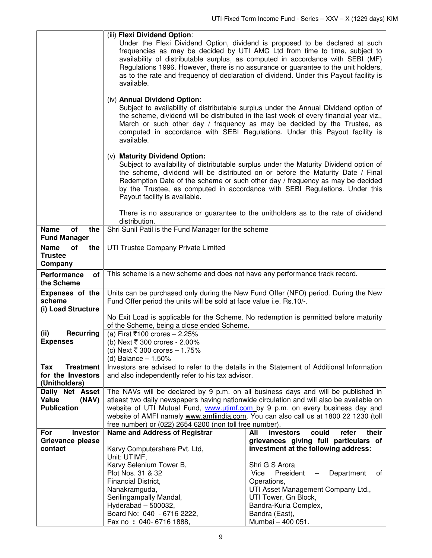| (iv) Annual Dividend Option:<br>available.<br>(v) Maturity Dividend Option:<br>Payout facility is available.<br>There is no assurance or guarantee to the unitholders as to the rate of dividend<br>distribution.<br>of<br>the<br>Shri Sunil Patil is the Fund Manager for the scheme<br><b>Name</b><br><b>Fund Manager</b><br><b>Name</b><br>of<br>the<br>UTI Trustee Company Private Limited<br><b>Trustee</b><br>Company<br>This scheme is a new scheme and does not have any performance track record.<br>of<br>Performance<br>the Scheme<br><b>Expenses of the</b><br>Fund Offer period the units will be sold at face value i.e. Rs.10/-.<br>scheme<br>(i) Load Structure<br>of the Scheme, being a close ended Scheme.<br>(ii)<br><b>Recurring</b><br>(a) First ₹100 crores - 2.25%<br><b>Expenses</b><br>(b) Next ₹ 300 crores - 2.00%<br>(c) Next ₹ 300 crores – 1.75%<br>(d) Balance $-1.50%$<br><b>Treatment</b><br>Tax<br>for the Investors<br>and also independently refer to his tax advisor.<br>(Unitholders)<br>Daily Net Asset<br>Value<br>(NAV)<br>atleast two daily newspapers having nationwide circulation and will also be available on<br><b>Publication</b><br>website of UTI Mutual Fund, www.utimf.com by 9 p.m. on every business day and<br>website of AMFI namely www.amfiindia.com. You can also call us at 1800 22 1230 (toll<br>free number) or (022) 2654 6200 (non toll free number).<br>Name and Address of Registrar<br>Investor<br>All<br>For<br>investors<br>could<br>refer<br>grievances giving full particulars of<br>Grievance please<br>investment at the following address:<br>Karvy Computershare Pvt. Ltd,<br>contact<br>Unit: UTIMF,<br>Karvy Selenium Tower B,<br>Shri G S Arora<br>Plot Nos. 31 & 32<br>President<br>Department<br>Vice<br>of<br>$\overline{\phantom{0}}$<br>Financial District,<br>Operations,<br>UTI Asset Management Company Ltd.,<br>Nanakramguda,<br>Serilingampally Mandal,<br>UTI Tower, Gn Block, | (iii) Flexi Dividend Option:<br>Under the Flexi Dividend Option, dividend is proposed to be declared at such<br>frequencies as may be decided by UTI AMC Ltd from time to time, subject to<br>availability of distributable surplus, as computed in accordance with SEBI (MF)<br>Regulations 1996. However, there is no assurance or guarantee to the unit holders,<br>as to the rate and frequency of declaration of dividend. Under this Payout facility is<br>available. |                       |  |
|---------------------------------------------------------------------------------------------------------------------------------------------------------------------------------------------------------------------------------------------------------------------------------------------------------------------------------------------------------------------------------------------------------------------------------------------------------------------------------------------------------------------------------------------------------------------------------------------------------------------------------------------------------------------------------------------------------------------------------------------------------------------------------------------------------------------------------------------------------------------------------------------------------------------------------------------------------------------------------------------------------------------------------------------------------------------------------------------------------------------------------------------------------------------------------------------------------------------------------------------------------------------------------------------------------------------------------------------------------------------------------------------------------------------------------------------------------------------------------------------------------------------------------------------------------------------------------------------------------------------------------------------------------------------------------------------------------------------------------------------------------------------------------------------------------------------------------------------------------------------------------------------------------------------------------------------------------------------------|-----------------------------------------------------------------------------------------------------------------------------------------------------------------------------------------------------------------------------------------------------------------------------------------------------------------------------------------------------------------------------------------------------------------------------------------------------------------------------|-----------------------|--|
|                                                                                                                                                                                                                                                                                                                                                                                                                                                                                                                                                                                                                                                                                                                                                                                                                                                                                                                                                                                                                                                                                                                                                                                                                                                                                                                                                                                                                                                                                                                                                                                                                                                                                                                                                                                                                                                                                                                                                                           | Subject to availability of distributable surplus under the Annual Dividend option of<br>the scheme, dividend will be distributed in the last week of every financial year viz.,<br>March or such other day / frequency as may be decided by the Trustee, as<br>computed in accordance with SEBI Regulations. Under this Payout facility is                                                                                                                                  |                       |  |
|                                                                                                                                                                                                                                                                                                                                                                                                                                                                                                                                                                                                                                                                                                                                                                                                                                                                                                                                                                                                                                                                                                                                                                                                                                                                                                                                                                                                                                                                                                                                                                                                                                                                                                                                                                                                                                                                                                                                                                           | Subject to availability of distributable surplus under the Maturity Dividend option of<br>the scheme, dividend will be distributed on or before the Maturity Date / Final<br>Redemption Date of the scheme or such other day / frequency as may be decided<br>by the Trustee, as computed in accordance with SEBI Regulations. Under this                                                                                                                                   |                       |  |
|                                                                                                                                                                                                                                                                                                                                                                                                                                                                                                                                                                                                                                                                                                                                                                                                                                                                                                                                                                                                                                                                                                                                                                                                                                                                                                                                                                                                                                                                                                                                                                                                                                                                                                                                                                                                                                                                                                                                                                           |                                                                                                                                                                                                                                                                                                                                                                                                                                                                             |                       |  |
|                                                                                                                                                                                                                                                                                                                                                                                                                                                                                                                                                                                                                                                                                                                                                                                                                                                                                                                                                                                                                                                                                                                                                                                                                                                                                                                                                                                                                                                                                                                                                                                                                                                                                                                                                                                                                                                                                                                                                                           |                                                                                                                                                                                                                                                                                                                                                                                                                                                                             |                       |  |
|                                                                                                                                                                                                                                                                                                                                                                                                                                                                                                                                                                                                                                                                                                                                                                                                                                                                                                                                                                                                                                                                                                                                                                                                                                                                                                                                                                                                                                                                                                                                                                                                                                                                                                                                                                                                                                                                                                                                                                           |                                                                                                                                                                                                                                                                                                                                                                                                                                                                             |                       |  |
|                                                                                                                                                                                                                                                                                                                                                                                                                                                                                                                                                                                                                                                                                                                                                                                                                                                                                                                                                                                                                                                                                                                                                                                                                                                                                                                                                                                                                                                                                                                                                                                                                                                                                                                                                                                                                                                                                                                                                                           |                                                                                                                                                                                                                                                                                                                                                                                                                                                                             |                       |  |
|                                                                                                                                                                                                                                                                                                                                                                                                                                                                                                                                                                                                                                                                                                                                                                                                                                                                                                                                                                                                                                                                                                                                                                                                                                                                                                                                                                                                                                                                                                                                                                                                                                                                                                                                                                                                                                                                                                                                                                           | Units can be purchased only during the New Fund Offer (NFO) period. During the New                                                                                                                                                                                                                                                                                                                                                                                          |                       |  |
|                                                                                                                                                                                                                                                                                                                                                                                                                                                                                                                                                                                                                                                                                                                                                                                                                                                                                                                                                                                                                                                                                                                                                                                                                                                                                                                                                                                                                                                                                                                                                                                                                                                                                                                                                                                                                                                                                                                                                                           | No Exit Load is applicable for the Scheme. No redemption is permitted before maturity                                                                                                                                                                                                                                                                                                                                                                                       |                       |  |
|                                                                                                                                                                                                                                                                                                                                                                                                                                                                                                                                                                                                                                                                                                                                                                                                                                                                                                                                                                                                                                                                                                                                                                                                                                                                                                                                                                                                                                                                                                                                                                                                                                                                                                                                                                                                                                                                                                                                                                           |                                                                                                                                                                                                                                                                                                                                                                                                                                                                             |                       |  |
|                                                                                                                                                                                                                                                                                                                                                                                                                                                                                                                                                                                                                                                                                                                                                                                                                                                                                                                                                                                                                                                                                                                                                                                                                                                                                                                                                                                                                                                                                                                                                                                                                                                                                                                                                                                                                                                                                                                                                                           | Investors are advised to refer to the details in the Statement of Additional Information                                                                                                                                                                                                                                                                                                                                                                                    |                       |  |
|                                                                                                                                                                                                                                                                                                                                                                                                                                                                                                                                                                                                                                                                                                                                                                                                                                                                                                                                                                                                                                                                                                                                                                                                                                                                                                                                                                                                                                                                                                                                                                                                                                                                                                                                                                                                                                                                                                                                                                           | The NAVs will be declared by 9 p.m. on all business days and will be published in                                                                                                                                                                                                                                                                                                                                                                                           |                       |  |
|                                                                                                                                                                                                                                                                                                                                                                                                                                                                                                                                                                                                                                                                                                                                                                                                                                                                                                                                                                                                                                                                                                                                                                                                                                                                                                                                                                                                                                                                                                                                                                                                                                                                                                                                                                                                                                                                                                                                                                           |                                                                                                                                                                                                                                                                                                                                                                                                                                                                             |                       |  |
|                                                                                                                                                                                                                                                                                                                                                                                                                                                                                                                                                                                                                                                                                                                                                                                                                                                                                                                                                                                                                                                                                                                                                                                                                                                                                                                                                                                                                                                                                                                                                                                                                                                                                                                                                                                                                                                                                                                                                                           |                                                                                                                                                                                                                                                                                                                                                                                                                                                                             |                       |  |
|                                                                                                                                                                                                                                                                                                                                                                                                                                                                                                                                                                                                                                                                                                                                                                                                                                                                                                                                                                                                                                                                                                                                                                                                                                                                                                                                                                                                                                                                                                                                                                                                                                                                                                                                                                                                                                                                                                                                                                           |                                                                                                                                                                                                                                                                                                                                                                                                                                                                             | their                 |  |
|                                                                                                                                                                                                                                                                                                                                                                                                                                                                                                                                                                                                                                                                                                                                                                                                                                                                                                                                                                                                                                                                                                                                                                                                                                                                                                                                                                                                                                                                                                                                                                                                                                                                                                                                                                                                                                                                                                                                                                           |                                                                                                                                                                                                                                                                                                                                                                                                                                                                             |                       |  |
|                                                                                                                                                                                                                                                                                                                                                                                                                                                                                                                                                                                                                                                                                                                                                                                                                                                                                                                                                                                                                                                                                                                                                                                                                                                                                                                                                                                                                                                                                                                                                                                                                                                                                                                                                                                                                                                                                                                                                                           |                                                                                                                                                                                                                                                                                                                                                                                                                                                                             |                       |  |
|                                                                                                                                                                                                                                                                                                                                                                                                                                                                                                                                                                                                                                                                                                                                                                                                                                                                                                                                                                                                                                                                                                                                                                                                                                                                                                                                                                                                                                                                                                                                                                                                                                                                                                                                                                                                                                                                                                                                                                           |                                                                                                                                                                                                                                                                                                                                                                                                                                                                             |                       |  |
|                                                                                                                                                                                                                                                                                                                                                                                                                                                                                                                                                                                                                                                                                                                                                                                                                                                                                                                                                                                                                                                                                                                                                                                                                                                                                                                                                                                                                                                                                                                                                                                                                                                                                                                                                                                                                                                                                                                                                                           |                                                                                                                                                                                                                                                                                                                                                                                                                                                                             |                       |  |
|                                                                                                                                                                                                                                                                                                                                                                                                                                                                                                                                                                                                                                                                                                                                                                                                                                                                                                                                                                                                                                                                                                                                                                                                                                                                                                                                                                                                                                                                                                                                                                                                                                                                                                                                                                                                                                                                                                                                                                           |                                                                                                                                                                                                                                                                                                                                                                                                                                                                             |                       |  |
|                                                                                                                                                                                                                                                                                                                                                                                                                                                                                                                                                                                                                                                                                                                                                                                                                                                                                                                                                                                                                                                                                                                                                                                                                                                                                                                                                                                                                                                                                                                                                                                                                                                                                                                                                                                                                                                                                                                                                                           |                                                                                                                                                                                                                                                                                                                                                                                                                                                                             |                       |  |
|                                                                                                                                                                                                                                                                                                                                                                                                                                                                                                                                                                                                                                                                                                                                                                                                                                                                                                                                                                                                                                                                                                                                                                                                                                                                                                                                                                                                                                                                                                                                                                                                                                                                                                                                                                                                                                                                                                                                                                           | Hyderabad $-500032$ ,                                                                                                                                                                                                                                                                                                                                                                                                                                                       | Bandra-Kurla Complex, |  |
| Board No: 040 - 6716 2222,<br>Bandra (East),                                                                                                                                                                                                                                                                                                                                                                                                                                                                                                                                                                                                                                                                                                                                                                                                                                                                                                                                                                                                                                                                                                                                                                                                                                                                                                                                                                                                                                                                                                                                                                                                                                                                                                                                                                                                                                                                                                                              | Fax no : 040-6716 1888,                                                                                                                                                                                                                                                                                                                                                                                                                                                     | Mumbai - 400 051.     |  |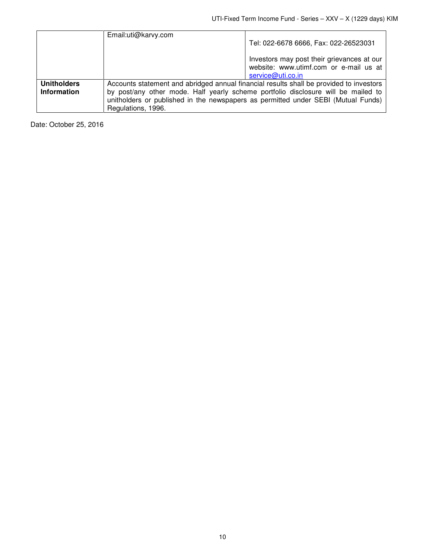|                    | Email:uti@karvy.com                                                               |                                                                                                           |  |
|--------------------|-----------------------------------------------------------------------------------|-----------------------------------------------------------------------------------------------------------|--|
|                    |                                                                                   | Tel: 022-6678 6666, Fax: 022-26523031                                                                     |  |
|                    |                                                                                   | Investors may post their grievances at our<br>website: www.utimf.com or e-mail us at<br>service@uti.co.in |  |
| <b>Unitholders</b> |                                                                                   | Accounts statement and abridged annual financial results shall be provided to investors                   |  |
| <b>Information</b> | by post/any other mode. Half yearly scheme portfolio disclosure will be mailed to |                                                                                                           |  |
|                    | unitholders or published in the newspapers as permitted under SEBI (Mutual Funds) |                                                                                                           |  |
|                    | Regulations, 1996.                                                                |                                                                                                           |  |

Date: October 25, 2016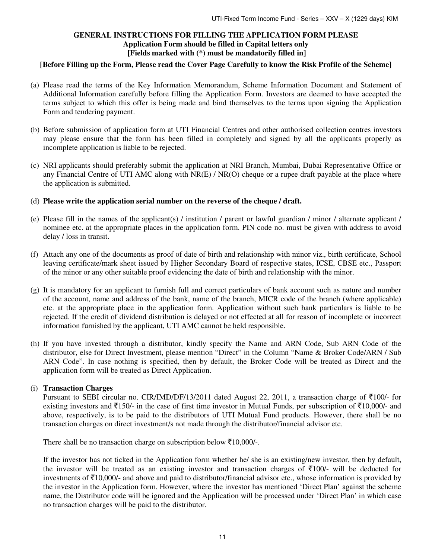# **GENERAL INSTRUCTIONS FOR FILLING THE APPLICATION FORM PLEASE Application Form should be filled in Capital letters only [Fields marked with (\*) must be mandatorily filled in]**

# **[Before Filling up the Form, Please read the Cover Page Carefully to know the Risk Profile of the Scheme]**

- (a) Please read the terms of the Key Information Memorandum, Scheme Information Document and Statement of Additional Information carefully before filling the Application Form. Investors are deemed to have accepted the terms subject to which this offer is being made and bind themselves to the terms upon signing the Application Form and tendering payment.
- (b) Before submission of application form at UTI Financial Centres and other authorised collection centres investors may please ensure that the form has been filled in completely and signed by all the applicants properly as incomplete application is liable to be rejected.
- (c) NRI applicants should preferably submit the application at NRI Branch, Mumbai, Dubai Representative Office or any Financial Centre of UTI AMC along with NR(E) / NR(O) cheque or a rupee draft payable at the place where the application is submitted.
- (d) **Please write the application serial number on the reverse of the cheque / draft.**
- (e) Please fill in the names of the applicant(s) / institution / parent or lawful guardian / minor / alternate applicant / nominee etc. at the appropriate places in the application form. PIN code no. must be given with address to avoid delay / loss in transit.
- (f) Attach any one of the documents as proof of date of birth and relationship with minor viz., birth certificate, School leaving certificate/mark sheet issued by Higher Secondary Board of respective states, ICSE, CBSE etc., Passport of the minor or any other suitable proof evidencing the date of birth and relationship with the minor.
- (g) It is mandatory for an applicant to furnish full and correct particulars of bank account such as nature and number of the account, name and address of the bank, name of the branch, MICR code of the branch (where applicable) etc. at the appropriate place in the application form. Application without such bank particulars is liable to be rejected. If the credit of dividend distribution is delayed or not effected at all for reason of incomplete or incorrect information furnished by the applicant, UTI AMC cannot be held responsible.
- (h) If you have invested through a distributor, kindly specify the Name and ARN Code, Sub ARN Code of the distributor, else for Direct Investment, please mention "Direct" in the Column "Name & Broker Code/ARN / Sub ARN Code". In case nothing is specified, then by default, the Broker Code will be treated as Direct and the application form will be treated as Direct Application.

# (i) **Transaction Charges**

Pursuant to SEBI circular no. CIR/IMD/DF/13/2011 dated August 22, 2011, a transaction charge of  $\bar{\tau}100/-$  for existing investors and  $\bar{\tau}$ 150/- in the case of first time investor in Mutual Funds, per subscription of  $\bar{\tau}$ 10,000/- and above, respectively, is to be paid to the distributors of UTI Mutual Fund products. However, there shall be no transaction charges on direct investment/s not made through the distributor/financial advisor etc.

There shall be no transaction charge on subscription below  $\bar{\mathfrak{Z}}10,000$ /-.

If the investor has not ticked in the Application form whether he/ she is an existing/new investor, then by default, the investor will be treated as an existing investor and transaction charges of  $\bar{\tau}100/$ - will be deducted for investments of  $\bar{\tau}$ 10,000/- and above and paid to distributor/financial advisor etc., whose information is provided by the investor in the Application form. However, where the investor has mentioned 'Direct Plan' against the scheme name, the Distributor code will be ignored and the Application will be processed under 'Direct Plan' in which case no transaction charges will be paid to the distributor.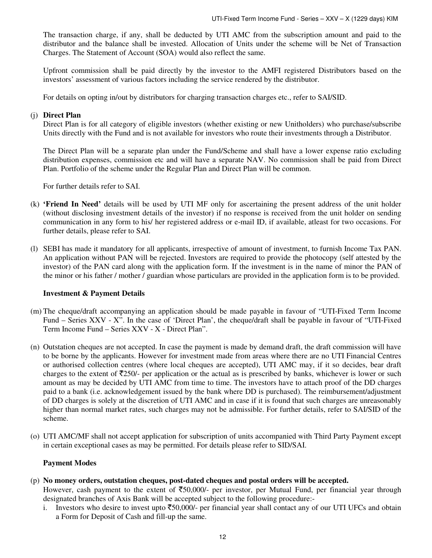The transaction charge, if any, shall be deducted by UTI AMC from the subscription amount and paid to the distributor and the balance shall be invested. Allocation of Units under the scheme will be Net of Transaction Charges. The Statement of Account (SOA) would also reflect the same.

Upfront commission shall be paid directly by the investor to the AMFI registered Distributors based on the investors' assessment of various factors including the service rendered by the distributor.

For details on opting in/out by distributors for charging transaction charges etc., refer to SAI/SID.

## (j) **Direct Plan**

Direct Plan is for all category of eligible investors (whether existing or new Unitholders) who purchase/subscribe Units directly with the Fund and is not available for investors who route their investments through a Distributor.

The Direct Plan will be a separate plan under the Fund/Scheme and shall have a lower expense ratio excluding distribution expenses, commission etc and will have a separate NAV. No commission shall be paid from Direct Plan. Portfolio of the scheme under the Regular Plan and Direct Plan will be common.

For further details refer to SAI.

- (k) **'Friend In Need'** details will be used by UTI MF only for ascertaining the present address of the unit holder (without disclosing investment details of the investor) if no response is received from the unit holder on sending communication in any form to his/ her registered address or e-mail ID, if available, atleast for two occasions. For further details, please refer to SAI.
- (l) SEBI has made it mandatory for all applicants, irrespective of amount of investment, to furnish Income Tax PAN. An application without PAN will be rejected. Investors are required to provide the photocopy (self attested by the investor) of the PAN card along with the application form. If the investment is in the name of minor the PAN of the minor or his father / mother / guardian whose particulars are provided in the application form is to be provided.

#### **Investment & Payment Details**

- (m) The cheque/draft accompanying an application should be made payable in favour of "UTI-Fixed Term Income Fund – Series XXV - X". In the case of 'Direct Plan', the cheque/draft shall be payable in favour of "UTI-Fixed Term Income Fund – Series XXV - X - Direct Plan".
- (n) Outstation cheques are not accepted. In case the payment is made by demand draft, the draft commission will have to be borne by the applicants. However for investment made from areas where there are no UTI Financial Centres or authorised collection centres (where local cheques are accepted), UTI AMC may, if it so decides, bear draft charges to the extent of  $\overline{2}250/$ - per application or the actual as is prescribed by banks, whichever is lower or such amount as may be decided by UTI AMC from time to time. The investors have to attach proof of the DD charges paid to a bank (i.e. acknowledgement issued by the bank where DD is purchased). The reimbursement/adjustment of DD charges is solely at the discretion of UTI AMC and in case if it is found that such charges are unreasonably higher than normal market rates, such charges may not be admissible. For further details, refer to SAI/SID of the scheme.
- (o) UTI AMC/MF shall not accept application for subscription of units accompanied with Third Party Payment except in certain exceptional cases as may be permitted. For details please refer to SID/SAI.

# **Payment Modes**

(p) **No money orders, outstation cheques, post-dated cheques and postal orders will be accepted.** 

However, cash payment to the extent of  $\overline{50,000/}$ - per investor, per Mutual Fund, per financial year through designated branches of Axis Bank will be accepted subject to the following procedure:-

i. Investors who desire to invest upto  $\overline{50,000}$ - per financial year shall contact any of our UTI UFCs and obtain a Form for Deposit of Cash and fill-up the same.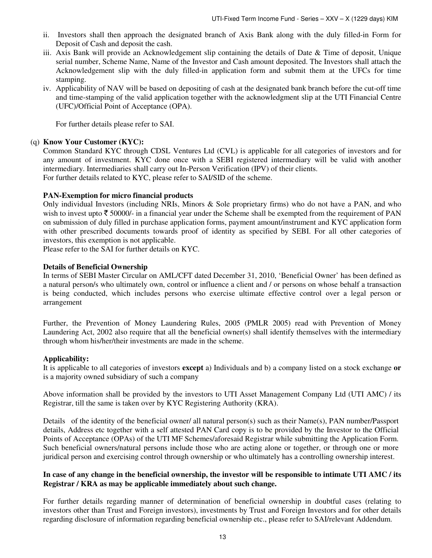- ii. Investors shall then approach the designated branch of Axis Bank along with the duly filled-in Form for Deposit of Cash and deposit the cash.
- iii. Axis Bank will provide an Acknowledgement slip containing the details of Date & Time of deposit, Unique serial number, Scheme Name, Name of the Investor and Cash amount deposited. The Investors shall attach the Acknowledgement slip with the duly filled-in application form and submit them at the UFCs for time stamping.
- iv. Applicability of NAV will be based on depositing of cash at the designated bank branch before the cut-off time and time-stamping of the valid application together with the acknowledgment slip at the UTI Financial Centre (UFC)/Official Point of Acceptance (OPA).

For further details please refer to SAI.

## (q) **Know Your Customer (KYC):**

Common Standard KYC through CDSL Ventures Ltd (CVL) is applicable for all categories of investors and for any amount of investment. KYC done once with a SEBI registered intermediary will be valid with another intermediary. Intermediaries shall carry out In-Person Verification (IPV) of their clients. For further details related to KYC, please refer to SAI/SID of the scheme.

## **PAN-Exemption for micro financial products**

Only individual Investors (including NRIs, Minors & Sole proprietary firms) who do not have a PAN, and who wish to invest upto  $\bar{\tau}$  50000/- in a financial year under the Scheme shall be exempted from the requirement of PAN on submission of duly filled in purchase application forms, payment amount/instrument and KYC application form with other prescribed documents towards proof of identity as specified by SEBI. For all other categories of investors, this exemption is not applicable.

Please refer to the SAI for further details on KYC.

# **Details of Beneficial Ownership**

In terms of SEBI Master Circular on AML/CFT dated December 31, 2010, 'Beneficial Owner' has been defined as a natural person/s who ultimately own, control or influence a client and / or persons on whose behalf a transaction is being conducted, which includes persons who exercise ultimate effective control over a legal person or arrangement

Further, the Prevention of Money Laundering Rules, 2005 (PMLR 2005) read with Prevention of Money Laundering Act, 2002 also require that all the beneficial owner(s) shall identify themselves with the intermediary through whom his/her/their investments are made in the scheme.

#### **Applicability:**

It is applicable to all categories of investors **except** a) Individuals and b) a company listed on a stock exchange **or**  is a majority owned subsidiary of such a company

Above information shall be provided by the investors to UTI Asset Management Company Ltd (UTI AMC) / its Registrar, till the same is taken over by KYC Registering Authority (KRA).

Details of the identity of the beneficial owner/ all natural person(s) such as their Name(s), PAN number/Passport details, Address etc together with a self attested PAN Card copy is to be provided by the Investor to the Official Points of Acceptance (OPAs) of the UTI MF Schemes/aforesaid Registrar while submitting the Application Form. Such beneficial owners/natural persons include those who are acting alone or together, or through one or more juridical person and exercising control through ownership or who ultimately has a controlling ownership interest.

# **In case of any change in the beneficial ownership, the investor will be responsible to intimate UTI AMC / its Registrar / KRA as may be applicable immediately about such change.**

For further details regarding manner of determination of beneficial ownership in doubtful cases (relating to investors other than Trust and Foreign investors), investments by Trust and Foreign Investors and for other details regarding disclosure of information regarding beneficial ownership etc., please refer to SAI/relevant Addendum.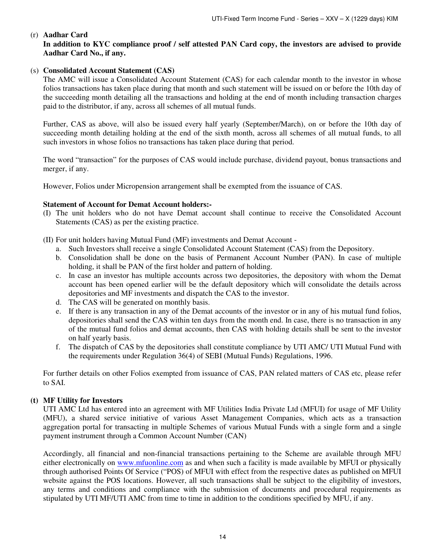# (r) **Aadhar Card**

# **In addition to KYC compliance proof / self attested PAN Card copy, the investors are advised to provide Aadhar Card No., if any.**

# (s) **Consolidated Account Statement (CAS)**

The AMC will issue a Consolidated Account Statement (CAS) for each calendar month to the investor in whose folios transactions has taken place during that month and such statement will be issued on or before the 10th day of the succeeding month detailing all the transactions and holding at the end of month including transaction charges paid to the distributor, if any, across all schemes of all mutual funds.

Further, CAS as above, will also be issued every half yearly (September/March), on or before the 10th day of succeeding month detailing holding at the end of the sixth month, across all schemes of all mutual funds, to all such investors in whose folios no transactions has taken place during that period.

The word "transaction" for the purposes of CAS would include purchase, dividend payout, bonus transactions and merger, if any.

However, Folios under Micropension arrangement shall be exempted from the issuance of CAS.

# **Statement of Account for Demat Account holders:-**

(I) The unit holders who do not have Demat account shall continue to receive the Consolidated Account Statements (CAS) as per the existing practice.

(II) For unit holders having Mutual Fund (MF) investments and Demat Account -

- a. Such Investors shall receive a single Consolidated Account Statement (CAS) from the Depository.
- b. Consolidation shall be done on the basis of Permanent Account Number (PAN). In case of multiple holding, it shall be PAN of the first holder and pattern of holding.
- c. In case an investor has multiple accounts across two depositories, the depository with whom the Demat account has been opened earlier will be the default depository which will consolidate the details across depositories and MF investments and dispatch the CAS to the investor.
- d. The CAS will be generated on monthly basis.
- e. If there is any transaction in any of the Demat accounts of the investor or in any of his mutual fund folios, depositories shall send the CAS within ten days from the month end. In case, there is no transaction in any of the mutual fund folios and demat accounts, then CAS with holding details shall be sent to the investor on half yearly basis.
- f. The dispatch of CAS by the depositories shall constitute compliance by UTI AMC/ UTI Mutual Fund with the requirements under Regulation 36(4) of SEBI (Mutual Funds) Regulations, 1996.

For further details on other Folios exempted from issuance of CAS, PAN related matters of CAS etc, please refer to SAI.

# **(t) MF Utility for Investors**

UTI AMC Ltd has entered into an agreement with MF Utilities India Private Ltd (MFUI) for usage of MF Utility (MFU), a shared service initiative of various Asset Management Companies, which acts as a transaction aggregation portal for transacting in multiple Schemes of various Mutual Funds with a single form and a single payment instrument through a Common Account Number (CAN)

Accordingly, all financial and non-financial transactions pertaining to the Scheme are available through MFU either electronically on www.mfuonline.com as and when such a facility is made available by MFUI or physically through authorised Points Of Service ("POS) of MFUI with effect from the respective dates as published on MFUI website against the POS locations. However, all such transactions shall be subject to the eligibility of investors, any terms and conditions and compliance with the submission of documents and procedural requirements as stipulated by UTI MF/UTI AMC from time to time in addition to the conditions specified by MFU, if any.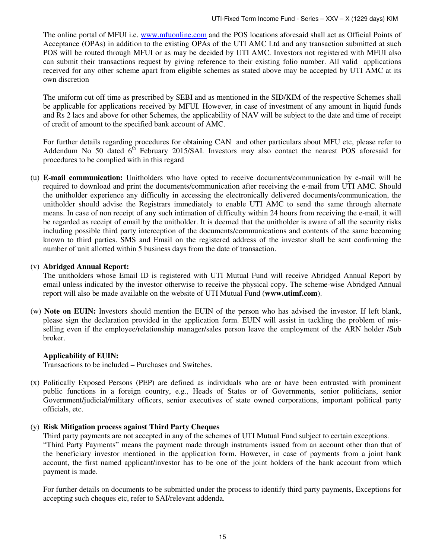The online portal of MFUI i.e. www.mfuonline.com and the POS locations aforesaid shall act as Official Points of Acceptance (OPAs) in addition to the existing OPAs of the UTI AMC Ltd and any transaction submitted at such POS will be routed through MFUI or as may be decided by UTI AMC. Investors not registered with MFUI also can submit their transactions request by giving reference to their existing folio number. All valid applications received for any other scheme apart from eligible schemes as stated above may be accepted by UTI AMC at its own discretion

The uniform cut off time as prescribed by SEBI and as mentioned in the SID/KIM of the respective Schemes shall be applicable for applications received by MFUI. However, in case of investment of any amount in liquid funds and Rs 2 lacs and above for other Schemes, the applicability of NAV will be subject to the date and time of receipt of credit of amount to the specified bank account of AMC.

For further details regarding procedures for obtaining CAN and other particulars about MFU etc, please refer to Addendum No 50 dated  $6<sup>th</sup>$  February 2015/SAI. Investors may also contact the nearest POS aforesaid for procedures to be complied with in this regard

(u) **E-mail communication:** Unitholders who have opted to receive documents/communication by e-mail will be required to download and print the documents/communication after receiving the e-mail from UTI AMC. Should the unitholder experience any difficulty in accessing the electronically delivered documents/communication, the unitholder should advise the Registrars immediately to enable UTI AMC to send the same through alternate means. In case of non receipt of any such intimation of difficulty within 24 hours from receiving the e-mail, it will be regarded as receipt of email by the unitholder. It is deemed that the unitholder is aware of all the security risks including possible third party interception of the documents/communications and contents of the same becoming known to third parties. SMS and Email on the registered address of the investor shall be sent confirming the number of unit allotted within 5 business days from the date of transaction.

#### (v) **Abridged Annual Report:**

The unitholders whose Email ID is registered with UTI Mutual Fund will receive Abridged Annual Report by email unless indicated by the investor otherwise to receive the physical copy. The scheme-wise Abridged Annual report will also be made available on the website of UTI Mutual Fund (**www.utimf.com**).

(w) **Note on EUIN:** Investors should mention the EUIN of the person who has advised the investor. If left blank, please sign the declaration provided in the application form. EUIN will assist in tackling the problem of misselling even if the employee/relationship manager/sales person leave the employment of the ARN holder /Sub broker.

#### **Applicability of EUIN:**

Transactions to be included – Purchases and Switches.

(x) Politically Exposed Persons (PEP) are defined as individuals who are or have been entrusted with prominent public functions in a foreign country, e.g., Heads of States or of Governments, senior politicians, senior Government/judicial/military officers, senior executives of state owned corporations, important political party officials, etc.

#### (y) **Risk Mitigation process against Third Party Cheques**

Third party payments are not accepted in any of the schemes of UTI Mutual Fund subject to certain exceptions. "Third Party Payments" means the payment made through instruments issued from an account other than that of the beneficiary investor mentioned in the application form. However, in case of payments from a joint bank account, the first named applicant/investor has to be one of the joint holders of the bank account from which payment is made.

For further details on documents to be submitted under the process to identify third party payments, Exceptions for accepting such cheques etc, refer to SAI/relevant addenda.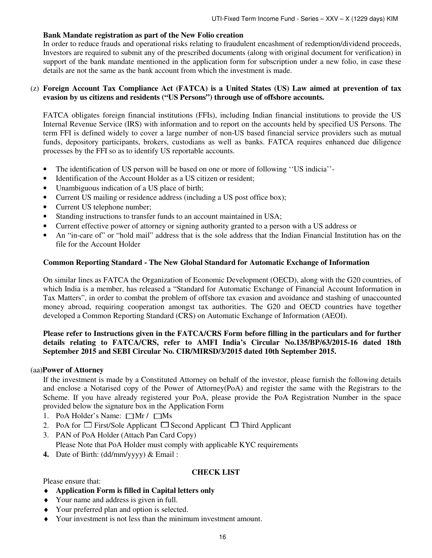# **Bank Mandate registration as part of the New Folio creation**

In order to reduce frauds and operational risks relating to fraudulent encashment of redemption/dividend proceeds, Investors are required to submit any of the prescribed documents (along with original document for verification) in support of the bank mandate mentioned in the application form for subscription under a new folio, in case these details are not the same as the bank account from which the investment is made.

# (z) **Foreign Account Tax Compliance Act (FATCA) is a United States (US) Law aimed at prevention of tax evasion by us citizens and residents ("US Persons") through use of offshore accounts.**

FATCA obligates foreign financial institutions (FFIs), including Indian financial institutions to provide the US Internal Revenue Service (IRS) with information and to report on the accounts held by specified US Persons. The term FFI is defined widely to cover a large number of non-US based financial service providers such as mutual funds, depository participants, brokers, custodians as well as banks. FATCA requires enhanced due diligence processes by the FFI so as to identify US reportable accounts.

- The identification of US person will be based on one or more of following ''US indicia''-
- Identification of the Account Holder as a US citizen or resident;
- Unambiguous indication of a US place of birth;
- Current US mailing or residence address (including a US post office box);
- Current US telephone number;
- Standing instructions to transfer funds to an account maintained in USA;
- Current effective power of attorney or signing authority granted to a person with a US address or
- An "in-care of" or "hold mail" address that is the sole address that the Indian Financial Institution has on the file for the Account Holder

# **Common Reporting Standard - The New Global Standard for Automatic Exchange of Information**

On similar lines as FATCA the Organization of Economic Development (OECD), along with the G20 countries, of which India is a member, has released a "Standard for Automatic Exchange of Financial Account Information in Tax Matters", in order to combat the problem of offshore tax evasion and avoidance and stashing of unaccounted money abroad, requiring cooperation amongst tax authorities. The G20 and OECD countries have together developed a Common Reporting Standard (CRS) on Automatic Exchange of Information (AEOI).

# **Please refer to Instructions given in the FATCA/CRS Form before filling in the particulars and for further details relating to FATCA/CRS, refer to AMFI India's Circular No.135/BP/63/2015-16 dated 18th September 2015 and SEBI Circular No. CIR/MIRSD/3/2015 dated 10th September 2015.**

#### (aa)**Power of Attorney**

 If the investment is made by a Constituted Attorney on behalf of the investor, please furnish the following details and enclose a Notarised copy of the Power of Attorney(PoA) and register the same with the Registrars to the Scheme. If you have already registered your PoA, please provide the PoA Registration Number in the space provided below the signature box in the Application Form

- 1. PoA Holder's Name:  $\Box$ Mr /  $\Box$ Ms
- 2. PoA for  $\Box$  First/Sole Applicant  $\Box$  Second Applicant  $\Box$  Third Applicant
- 3. PAN of PoA Holder (Attach Pan Card Copy)
	- Please Note that PoA Holder must comply with applicable KYC requirements
- **4.** Date of Birth: (dd/mm/yyyy) & Email :

# **CHECK LIST**

Please ensure that:

- ♦ **Application Form is filled in Capital letters only**
- ♦ Your name and address is given in full.
- ♦ Your preferred plan and option is selected.
- ♦ Your investment is not less than the minimum investment amount.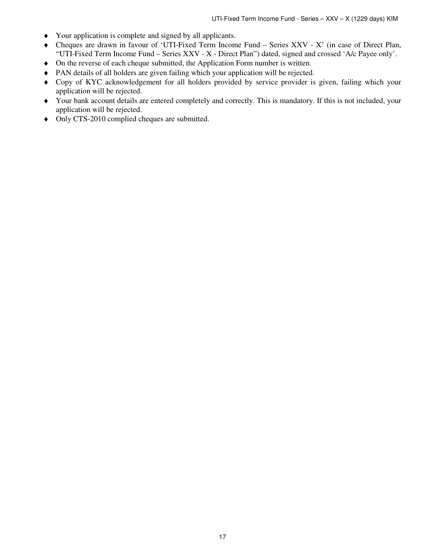- ♦ Your application is complete and signed by all applicants.
- ♦ Cheques are drawn in favour of 'UTI-Fixed Term Income Fund Series XXV X' (in case of Direct Plan, "UTI-Fixed Term Income Fund – Series XXV - X - Direct Plan") dated, signed and crossed 'A/c Payee only'.
- ♦ On the reverse of each cheque submitted, the Application Form number is written.
- ♦ PAN details of all holders are given failing which your application will be rejected.
- ♦ Copy of KYC acknowledgement for all holders provided by service provider is given, failing which your application will be rejected.
- ♦ Your bank account details are entered completely and correctly. This is mandatory. If this is not included, your application will be rejected.
- ♦ Only CTS-2010 complied cheques are submitted.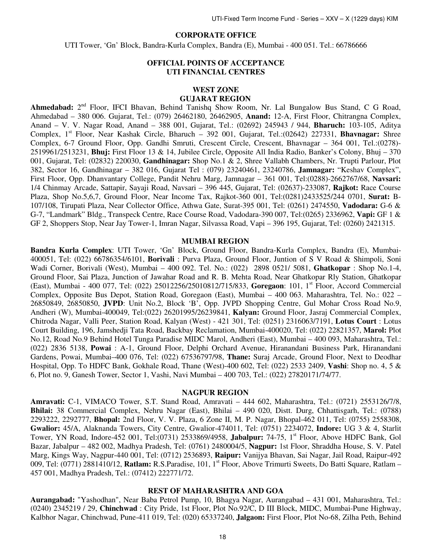# **CORPORATE OFFICE**

UTI Tower, 'Gn' Block, Bandra-Kurla Complex, Bandra (E), Mumbai - 400 051. Tel.: 66786666

# **OFFICIAL POINTS OF ACCEPTANCE UTI FINANCIAL CENTRES**

# **WEST ZONE**

# **GUJARAT REGION**

Ahmedabad: 2<sup>nd</sup> Floor, IFCI Bhavan, Behind Tanishq Show Room, Nr. Lal Bungalow Bus Stand, C G Road, Ahmedabad – 380 006. Gujarat, Tel.: (079) 26462180, 26462905, **Anand:** 12-A, First Floor, Chitrangna Complex, Anand – V. V. Nagar Road, Anand – 388 001, Gujarat, Tel.: (02692) 245943 / 944, **Bharuch:** 103-105, Aditya Complex, 1<sup>st</sup> Floor, Near Kashak Circle, Bharuch – 392 001, Gujarat, Tel.:(02642) 227331, **Bhavnagar:** Shree Complex, 6-7 Ground Floor, Opp. Gandhi Smruti, Crescent Circle, Crescent, Bhavnagar – 364 001, Tel.:(0278)- 2519961/2513231, **Bhuj:** First Floor 13 & 14, Jubilee Circle, Opposite All India Radio, Banker's Colony, Bhuj – 370 001, Gujarat, Tel: (02832) 220030, **Gandhinagar:** Shop No.1 & 2, Shree Vallabh Chambers, Nr. Trupti Parlour, Plot 382, Sector 16, Gandhinagar – 382 016, Gujarat Tel : (079) 23240461, 23240786, **Jamnagar:** "Keshav Complex", First Floor, Opp. Dhanvantary College, Pandit Nehru Marg, Jamnagar – 361 001, Tel:(0288)-2662767/68, **Navsari:** 1/4 Chinmay Arcade, Sattapir, Sayaji Road, Navsari – 396 445, Gujarat, Tel: (02637)-233087, **Rajkot:** Race Course Plaza, Shop No.5,6,7, Ground Floor, Near Income Tax, Rajkot-360 001, Tel:(0281)2433525/244 0701, **Surat:** B-107/108, Tirupati Plaza, Near Collector Office, Athwa Gate, Surat-395 001, Tel: (0261) 2474550, **Vadodara:** G-6 & G-7, "Landmark" Bldg., Transpeck Centre, Race Course Road, Vadodara-390 007, Tel:(0265) 2336962, **Vapi:** GF 1 & GF 2, Shoppers Stop, Near Jay Tower-1, Imran Nagar, Silvassa Road, Vapi – 396 195, Gujarat, Tel: (0260) 2421315.

#### **MUMBAI REGION**

**Bandra Kurla Complex**: UTI Tower, 'Gn' Block, Ground Floor, Bandra-Kurla Complex, Bandra (E), Mumbai-400051, Tel: (022) 66786354/6101, **Borivali** : Purva Plaza, Ground Floor, Juntion of S V Road & Shimpoli, Soni Wadi Corner, Borivali (West), Mumbai – 400 092. Tel. No.: (022) 2898 0521/ 5081, **Ghatkopar** : Shop No.1-4, Ground Floor, Sai Plaza, Junction of Jawahar Road and R. B. Mehta Road, Near Ghatkopar Rly Station, Ghatkopar (East), Mumbai - 400 077, Tel: (022) 25012256/25010812/715/833, **Goregaon**: 101, 1st Floor, Accord Commercial Complex, Opposite Bus Depot, Station Road, Goregaon (East), Mumbai – 400 063. Maharashtra, Tel. No.: 022 – 26850849, 26850850, **JVPD**: Unit No.2, Block 'B', Opp. JVPD Shopping Centre, Gul Mohar Cross Road No.9, Andheri (W), Mumbai-400049, Tel:(022) 26201995/26239841, **Kalyan:** Ground Floor, Jasraj Commercial Complex, Chitroda Nagar, Valli Peer, Station Road, Kalyan (West) - 421 301, Tel: (0251) 2316063/7191, **Lotus Court** : Lotus Court Building, 196, Jamshedji Tata Road, Backbay Reclamation, Mumbai-400020, Tel: (022) 22821357, **Marol:** Plot No.12, Road No.9 Behind Hotel Tunga Paradise MIDC Marol, Andheri (East), Mumbai – 400 093, Maharashtra, Tel.: (022) 2836 5138, **Powai** : A-1, Ground Floor, Delphi Orchard Avenue, Hiranandani Business Park, Hiranandani Gardens, Powai, Mumbai–400 076, Tel: (022) 67536797/98, **Thane:** Suraj Arcade, Ground Floor, Next to Deodhar Hospital, Opp. To HDFC Bank, Gokhale Road, Thane (West)-400 602, Tel: (022) 2533 2409, **Vashi**: Shop no. 4, 5 & 6, Plot no. 9, Ganesh Tower, Sector 1, Vashi, Navi Mumbai – 400 703, Tel.: (022) 27820171/74/77.

#### **NAGPUR REGION**

**Amravati:** C-1, VIMACO Tower, S.T. Stand Road, Amravati – 444 602, Maharashtra, Tel.: (0721) 2553126/7/8, **Bhilai:** 38 Commercial Complex, Nehru Nagar (East), Bhilai – 490 020, Distt. Durg, Chhattisgarh, Tel.: (0788) 2293222, 2292777, **Bhopal:** 2nd Floor, V. V. Plaza, 6 Zone II, M. P. Nagar, Bhopal-462 011, Tel: (0755) 2558308, **Gwalior:** 45/A, Alaknanda Towers, City Centre, Gwalior-474011, Tel: (0751) 2234072, **Indore:** UG 3 & 4, Starlit Tower, YN Road, Indore-452 001, Tel:(0731) 2533869/4958, **Jabalpur:** 74-75, 1<sup>st</sup> Floor, Above HDFC Bank, Gol Bazar, Jabalpur – 482 002, Madhya Pradesh, Tel: (0761) 2480004/5, **Nagpur:** 1st Floor, Shraddha House, S. V. Patel Marg, Kings Way, Nagpur-440 001, Tel: (0712) 2536893, **Raipur:** Vanijya Bhavan, Sai Nagar, Jail Road, Raipur-492 009, Tel: (0771) 2881410/12, **Ratlam:** R.S.Paradise, 101, 1st Floor, Above Trimurti Sweets, Do Batti Square, Ratlam – 457 001, Madhya Pradesh, Tel.: (07412) 222771/72.

#### **REST OF MAHARASHTRA AND GOA**

**Aurangabad:** "Yashodhan", Near Baba Petrol Pump, 10, Bhagya Nagar, Aurangabad – 431 001, Maharashtra, Tel.: (0240) 2345219 / 29, **Chinchwad** : City Pride, 1st Floor, Plot No.92/C, D III Block, MIDC, Mumbai-Pune Highway, Kalbhor Nagar, Chinchwad, Pune-411 019, Tel: (020) 65337240, **Jalgaon:** First Floor, Plot No-68, Zilha Peth, Behind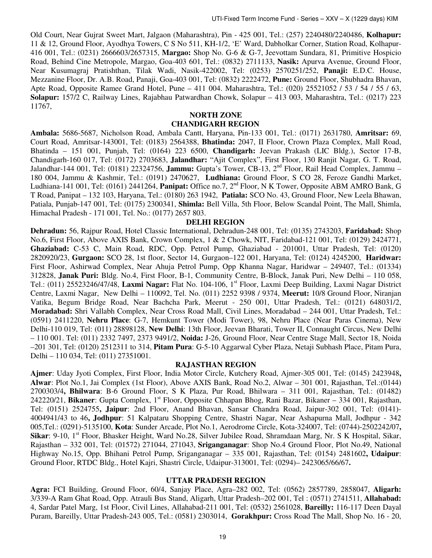Old Court, Near Gujrat Sweet Mart, Jalgaon (Maharashtra), Pin - 425 001, Tel.: (257) 2240480/2240486, **Kolhapur:**  11 & 12, Ground Floor, Ayodhya Towers, C S No 511, KH-1/2, 'E' Ward, Dabholkar Corner, Station Road, Kolhapur-416 001, Tel.: (0231) 2666603/2657315, **Margao:** Shop No. G-6 & G-7, Jeevottam Sundara, 81, Primitive Hospicio Road, Behind Cine Metropole, Margao, Goa-403 601, Tel.: (0832) 2711133, **Nasik:** Apurva Avenue, Ground Floor, Near Kusumagraj Pratishthan, Tilak Wadi, Nasik-422002, Tel: (0253) 2570251/252, **Panaji:** E.D.C. House, Mezzanine Floor, Dr. A.B. Road, Panaji, Goa-403 001, Tel: (0832) 2222472, **Pune:** Ground Floor, Shubhadra Bhavan, Apte Road, Opposite Ramee Grand Hotel, Pune – 411 004. Maharashtra, Tel.: (020) 25521052 / 53 / 54 / 55 / 63, **Solapur:** 157/2 C, Railway Lines, Rajabhau Patwardhan Chowk, Solapur – 413 003, Maharashtra, Tel.: (0217) 223 11767,

#### **NORTH ZONE**

#### **CHANDIGARH REGION**

**Ambala:** 5686-5687, Nicholson Road, Ambala Cantt, Haryana, Pin-133 001, Tel.: (0171) 2631780, **Amritsar:** 69, Court Road, Amritsar-143001, Tel: (0183) 2564388, **Bhatinda:** 2047, II Floor, Crown Plaza Complex, Mall Road, Bhatinda – 151 001, Punjab, Tel: (0164) 223 6500, **Chandigarh:** Jeevan Prakash (LIC Bldg.), Sector 17-B, Chandigarh-160 017, Tel: (0172) 2703683, **Jalandhar:** "Ajit Complex", First Floor, 130 Ranjit Nagar, G. T. Road, Jalandhar-144 001, Tel: (0181) 22324756, **Jammu:** Gupta's Tower, CB-13, 2nd Floor, Rail Head Complex, Jammu – 180 004, Jammu & Kashmir, Tel.: (0191) 2470627, **Ludhiana:** Ground Floor, S CO 28, Feroze Gandhi Market, Ludhiana-141 001, Tel: (0161) 2441264, **Panipat:** Office no.7, 2nd Floor, N K Tower, Opposite ABM AMRO Bank, G T Road, Panipat – 132 103, Haryana, Tel.: (0180) 263 1942, **Patiala:** SCO No. 43, Ground Floor, New Leela Bhawan, Patiala, Punjab-147 001, Tel: (0175) 2300341, **Shimla:** Bell Villa, 5th Floor, Below Scandal Point, The Mall, Shimla, Himachal Pradesh - 171 001, Tel. No.: (0177) 2657 803.

# **DELHI REGION**

**Dehradun:** 56, Rajpur Road, Hotel Classic International, Dehradun-248 001, Tel: (0135) 2743203, **Faridabad:** Shop No.6, First Floor, Above AXIS Bank, Crown Complex, 1 & 2 Chowk, NIT, Faridabad-121 001, Tel: (0129) 2424771, **Ghaziabad:** C-53 C, Main Road, RDC, Opp. Petrol Pump, Ghaziabad - 201001, Uttar Pradesh, Tel: (0120) 2820920/23, **Gurgaon:** SCO 28, 1st floor, Sector 14, Gurgaon–122 001, Haryana, Tel: (0124) 4245200, **Haridwar:**  First Floor, Ashirwad Complex, Near Ahuja Petrol Pump, Opp Khanna Nagar, Haridwar – 249407, Tel.: (01334) 312828, **Janak Puri:** Bldg. No.4, First Floor, B-1, Community Centre, B-Block, Janak Puri, New Delhi – 110 058, Tel.: (011) 25523246/47/48, **Laxmi Nagar:** Flat No. 104-106, 1st Floor, Laxmi Deep Building, Laxmi Nagar District Centre, Laxmi Nagar, New Delhi – 110092, Tel. No. (011) 2252 9398 / 9374, **Meerut:** 10/8 Ground Floor, Niranjan Vatika, Begum Bridge Road, Near Bachcha Park, Meerut - 250 001, Uttar Pradesh, Tel.: (0121) 648031/2, **Moradabad:** Shri Vallabh Complex, Near Cross Road Mall, Civil Lines, Moradabad – 244 001, Uttar Pradesh, Tel.: (0591) 2411220, **Nehru Place**: G-7, Hemkunt Tower (Modi Tower), 98, Nehru Place (Near Paras Cinema), New Delhi-110 019, Tel: (011) 28898128, **New Delhi**: 13th Floor, Jeevan Bharati, Tower II, Connaught Circus, New Delhi – 110 001. Tel: (011) 2332 7497, 2373 9491/2, **Noida:** J-26, Ground Floor, Near Centre Stage Mall, Sector 18, Noida –201 301, Tel: (0120) 2512311 to 314, **Pitam Pura**: G-5-10 Aggarwal Cyber Plaza, Netaji Subhash Place, Pitam Pura, Delhi – 110 034, Tel: (011) 27351001.

#### **RAJASTHAN REGION**

**Ajmer**: Uday Jyoti Complex, First Floor, India Motor Circle, Kutchery Road, Ajmer-305 001, Tel: (0145) 2423948**, Alwar**: Plot No.1, Jai Complex (1st Floor), Above AXIS Bank, Road No.2, Alwar – 301 001, Rajasthan, Tel.:(0144) 2700303/4**, Bhilwara**: B-6 Ground Floor, S K Plaza, Pur Road, Bhilwara – 311 001, Rajasthan, Tel.: (01482) 242220/21, **Bikaner**: Gupta Complex, 1st Floor, Opposite Chhapan Bhog, Rani Bazar, Bikaner – 334 001, Rajasthan, Tel: (0151) 2524755**, Jaipur**: 2nd Floor, Anand Bhavan, Sansar Chandra Road, Jaipur-302 001, Tel: (0141)- 4004941/43 to 46**, Jodhpur**: 51 Kalpataru Shopping Centre, Shastri Nagar, Near Ashapurna Mall, Jodhpur - 342 005,Tel.: (0291)-5135100, **Kota**: Sunder Arcade, Plot No.1, Aerodrome Circle, Kota-324007, Tel: (0744)-2502242/07**, Sikar**: 9-10, 1<sup>st</sup> Floor, Bhasker Height, Ward No.28, Silver Jubilee Road, Shramdaan Marg, Nr. S K Hospital, Sikar, Rajasthan – 332 001, Tel: (01572) 271044, 271043, **Sriganganagar**: Shop No.4 Ground Floor, Plot No.49, National Highway No.15, Opp. Bhihani Petrol Pump, Sriganganagar – 335 001, Rajasthan, Tel: (0154) 2481602**, Udaipur**: Ground Floor, RTDC Bldg., Hotel Kajri, Shastri Circle, Udaipur-313001, Tel: (0294)– 2423065/66/67**.** 

## **UTTAR PRADESH REGION**

**Agra:** FCI Building, Ground Floor, 60/4, Sanjay Place, Agra–282 002, Tel: (0562) 2857789, 2858047, **Aligarh:**  3/339-A Ram Ghat Road, Opp. Atrauli Bus Stand, Aligarh, Uttar Pradesh–202 001, Tel : (0571) 2741511, **Allahabad:**  4, Sardar Patel Marg, 1st Floor, Civil Lines, Allahabad-211 001, Tel: (0532) 2561028, **Bareilly:** 116-117 Deen Dayal Puram, Bareilly, Uttar Pradesh-243 005, Tel.: (0581) 2303014, **Gorakhpur:** Cross Road The Mall, Shop No. 16 - 20,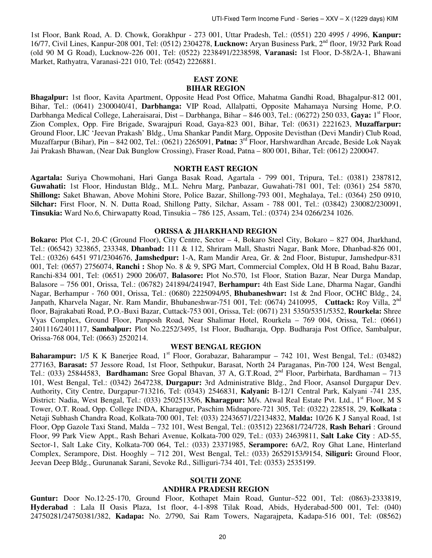1st Floor, Bank Road, A. D. Chowk, Gorakhpur - 273 001, Uttar Pradesh, Tel.: (0551) 220 4995 / 4996, **Kanpur:**  16/77, Civil Lines, Kanpur-208 001, Tel: (0512) 2304278, **Lucknow:** Aryan Business Park, 2nd floor, 19/32 Park Road (old 90 M G Road), Lucknow-226 001, Tel: (0522) 2238491/2238598, **Varanasi:** 1st Floor, D-58/2A-1, Bhawani Market, Rathyatra, Varanasi-221 010, Tel: (0542) 2226881.

### **EAST ZONE BIHAR REGION**

**Bhagalpur:** 1st floor, Kavita Apartment, Opposite Head Post Office, Mahatma Gandhi Road, Bhagalpur-812 001, Bihar, Tel.: (0641) 2300040/41, **Darbhanga:** VIP Road, Allalpatti, Opposite Mahamaya Nursing Home, P.O. Darbhanga Medical College, Laheraisarai, Dist – Darbhanga, Bihar – 846 003, Tel.: (06272) 250 033, **Gaya:** 1st Floor, Zion Complex, Opp. Fire Brigade, Swarajpuri Road, Gaya-823 001, Bihar, Tel: (0631) 2221623, **Muzaffarpur:** Ground Floor, LIC 'Jeevan Prakash' Bldg., Uma Shankar Pandit Marg, Opposite Devisthan (Devi Mandir) Club Road, Muzaffarpur (Bihar), Pin – 842 002, Tel.: (0621) 2265091, **Patna:** 3 rd Floor, Harshwardhan Arcade, Beside Lok Nayak Jai Prakash Bhawan, (Near Dak Bunglow Crossing), Fraser Road, Patna – 800 001, Bihar, Tel: (0612) 2200047.

## **NORTH EAST REGION**

**Agartala:** Suriya Chowmohani, Hari Ganga Basak Road, Agartala - 799 001, Tripura, Tel.: (0381) 2387812, **Guwahati:** 1st Floor, Hindustan Bldg., M.L. Nehru Marg, Panbazar, Guwahati-781 001, Tel: (0361) 254 5870, **Shillong:** Saket Bhawan, Above Mohini Store, Police Bazar, Shillong-793 001, Meghalaya, Tel.: (0364) 250 0910, **Silchar:** First Floor, N. N. Dutta Road, Shillong Patty, Silchar, Assam - 788 001, Tel.: (03842) 230082/230091, **Tinsukia:** Ward No.6, Chirwapatty Road, Tinsukia – 786 125, Assam, Tel.: (0374) 234 0266/234 1026.

#### **ORISSA & JHARKHAND REGION**

**Bokaro:** Plot C-1, 20-C (Ground Floor), City Centre, Sector – 4, Bokaro Steel City, Bokaro – 827 004, Jharkhand, Tel.: (06542) 323865, 233348, **Dhanbad:** 111 & 112, Shriram Mall, Shastri Nagar, Bank More, Dhanbad-826 001, Tel.: (0326) 6451 971/2304676, **Jamshedpur:** 1-A, Ram Mandir Area, Gr. & 2nd Floor, Bistupur, Jamshedpur-831 001, Tel: (0657) 2756074, **Ranchi :** Shop No. 8 & 9, SPG Mart, Commercial Complex, Old H B Road, Bahu Bazar, Ranchi-834 001, Tel: (0651) 2900 206/07, **Balasore:** Plot No.570, 1st Floor, Station Bazar, Near Durga Mandap, Balasore – 756 001, Orissa, Tel.: (06782) 241894/241947, **Berhampur:** 4th East Side Lane, Dharma Nagar, Gandhi Nagar, Berhampur - 760 001, Orissa, Tel.: (0680) 2225094/95, **Bhubaneshwar:** 1st & 2nd Floor, OCHC Bldg., 24, Janpath, Kharvela Nagar, Nr. Ram Mandir, Bhubaneshwar-751 001, Tel: (0674) 2410995, **Cuttack:** Roy Villa, 2nd floor, Bajrakabati Road, P.O.-Buxi Bazar, Cuttack-753 001, Orissa, Tel: (0671) 231 5350/5351/5352, **Rourkela:** Shree Vyas Complex, Ground Floor, Panposh Road, Near Shalimar Hotel, Rourkela – 769 004, Orissa, Tel.: (0661) 2401116/2401117, **Sambalpur:** Plot No.2252/3495, 1st Floor, Budharaja, Opp. Budharaja Post Office, Sambalpur, Orissa-768 004, Tel: (0663) 2520214.

## **WEST BENGAL REGION**

Baharampur: 1/5 K K Banerjee Road, 1<sup>st</sup> Floor, Gorabazar, Baharampur – 742 101, West Bengal, Tel.: (03482) 277163, **Barasat:** 57 Jessore Road, 1st Floor, Sethpukur, Barasat, North 24 Paraganas, Pin-700 124, West Bengal, Tel.: (033) 25844583, **Bardhaman:** Sree Gopal Bhavan, 37 A, G.T.Road, 2nd Floor, Parbirhata, Bardhaman – 713 101, West Bengal, Tel.: (0342) 2647238, **Durgapur:** 3rd Administrative Bldg., 2nd Floor, Asansol Durgapur Dev. Authority, City Centre, Durgapur-713216, Tel: (0343) 2546831, **Kalyani:** B-12/1 Central Park, Kalyani -741 235, District: Nadia, West Bengal, Tel.: (033) 25025135/6, **Kharagpur:** M/s. Atwal Real Estate Pvt. Ltd., 1<sup>st</sup> Floor, M S Tower, O.T. Road, Opp. College INDA, Kharagpur, Paschim Midnapore-721 305, Tel: (0322) 228518, 29, **Kolkata** : Netaji Subhash Chandra Road, Kolkata-700 001, Tel: (033) 22436571/22134832, **Malda:** 10/26 K J Sanyal Road, 1st Floor, Opp Gazole Taxi Stand, Malda – 732 101, West Bengal, Tel.: (03512) 223681/724/728, **Rash Behari** : Ground Floor, 99 Park View Appt., Rash Behari Avenue, Kolkata-700 029, Tel.: (033) 24639811, **Salt Lake City** : AD-55, Sector-1, Salt Lake City, Kolkata-700 064, Tel.: (033) 23371985, **Serampore:** 6A/2, Roy Ghat Lane, Hinterland Complex, Serampore, Dist. Hooghly – 712 201, West Bengal, Tel.: (033) 26529153/9154, **Siliguri:** Ground Floor, Jeevan Deep Bldg., Gurunanak Sarani, Sevoke Rd., Silliguri-734 401, Tel: (0353) 2535199.

# **SOUTH ZONE**

#### **ANDHRA PRADESH REGION**

**Guntur:** Door No.12-25-170, Ground Floor, Kothapet Main Road, Guntur–522 001, Tel: (0863)-2333819, **Hyderabad** : Lala II Oasis Plaza, 1st floor, 4-1-898 Tilak Road, Abids, Hyderabad-500 001, Tel: (040) 24750281/24750381/382, **Kadapa:** No. 2/790, Sai Ram Towers, Nagarajpeta, Kadapa-516 001, Tel: (08562)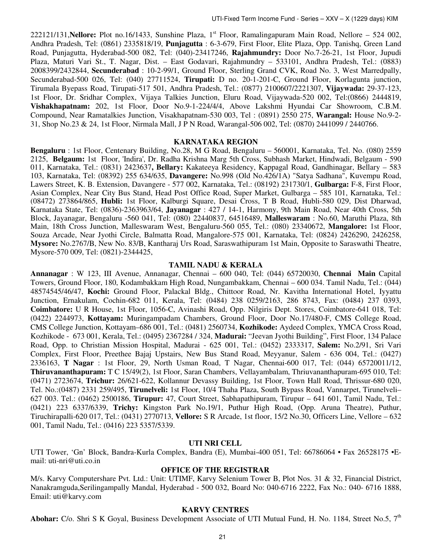222121/131, Nellore: Plot no.16/1433, Sunshine Plaza, 1<sup>st</sup> Floor, Ramalingapuram Main Road, Nellore – 524 002, Andhra Pradesh, Tel: (0861) 2335818/19, **Punjagutta** : 6-3-679, First Floor, Elite Plaza, Opp. Tanishq, Green Land Road, Punjagutta, Hyderabad-500 082, Tel: (040)-23417246, **Rajahmundry:** Door No.7-26-21, 1st Floor, Jupudi Plaza, Maturi Vari St., T. Nagar, Dist. – East Godavari, Rajahmundry – 533101, Andhra Pradesh, Tel.: (0883) 2008399/2432844, **Secunderabad** : 10-2-99/1, Ground Floor, Sterling Grand CVK, Road No. 3, West Marredpally, Secunderabad-500 026, Tel: (040) 27711524, **Tirupati:** D no. 20-1-201-C, Ground Floor, Korlagunta junction, Tirumala Byepass Road, Tirupati-517 501, Andhra Pradesh, Tel.: (0877) 2100607/2221307, **Vijaywada:** 29-37-123, 1st Floor, Dr. Sridhar Complex, Vijaya Talkies Junction, Eluru Road, Vijaywada-520 002, Tel:(0866) 2444819, **Vishakhapatnam:** 202, 1st Floor, Door No.9-1-224/4/4, Above Lakshmi Hyundai Car Showroom, C.B.M. Compound, Near Ramatalkies Junction, Visakhapatnam-530 003, Tel : (0891) 2550 275, **Warangal:** House No.9-2- 31, Shop No.23 & 24, 1st Floor, Nirmala Mall, J P N Road, Warangal-506 002, Tel: (0870) 2441099 / 2440766.

#### **KARNATAKA REGION**

**Bengaluru** : 1st Floor, Centenary Building, No.28, M G Road, Bengaluru – 560001, Karnataka, Tel. No. (080) 2559 2125, **Belgaum:** 1st Floor, 'Indira', Dr. Radha Krishna Marg 5th Cross, Subhash Market, Hindwadi, Belgaum - 590 011, Karnataka, Tel.: (0831) 2423637**, Bellary:** Kakateeya Residency, Kappagal Road, Gandhinagar, Bellary – 583 103, Karnataka, Tel: (08392) 255 634/635, **Davangere:** No.998 (Old No.426/1A) "Satya Sadhana", Kuvempu Road, Lawers Street, K. B. Extension, Davangere - 577 002, Karnataka, Tel.: (08192) 231730/1, **Gulbarga:** F-8, First Floor, Asian Complex, Near City Bus Stand, Head Post Office Road, Super Market, Gulbarga – 585 101, Karnataka, Tel.: (08472) 273864/865, **Hubli:** 1st Floor, Kalburgi Square, Desai Cross, T B Road, Hubli-580 029, Dist Dharwad, Karnataka State, Tel: (0836)-2363963/64, **Jayanagar** : 427 / 14-1, Harmony, 9th Main Road, Near 40th Cross, 5th Block, Jayanagar, Bengaluru -560 041, Tel: (080) 22440837, 64516489, **Malleswaram** : No.60, Maruthi Plaza, 8th Main, 18th Cross Junction, Malleswaram West, Bengaluru-560 055, Tel.: (080) 23340672, **Mangalore:** 1st Floor, Souza Arcade, Near Jyothi Circle, Balmatta Road, Mangalore-575 001, Karnataka, Tel: (0824) 2426290, 2426258, **Mysore:** No.2767/B, New No. 83/B, Kantharaj Urs Road, Saraswathipuram 1st Main, Opposite to Saraswathi Theatre, Mysore-570 009, Tel: (0821)-2344425,

## **TAMIL NADU & KERALA**

**Annanagar** : W 123, III Avenue, Annanagar, Chennai – 600 040, Tel: (044) 65720030, **Chennai Main** Capital Towers, Ground Floor, 180, Kodambakkam High Road, Nungambakkam, Chennai – 600 034. Tamil Nadu, Tel.: (044) 48574545/46/47, **Kochi:** Ground Floor, Palackal Bldg., Chittoor Road, Nr. Kavitha International Hotel, Iyyattu Junction, Ernakulam, Cochin-682 011, Kerala, Tel: (0484) 238 0259/2163, 286 8743, Fax: (0484) 237 0393, **Coimbatore:** U R House, 1st Floor, 1056-C, Avinashi Road, Opp. Nilgiris Dept. Stores, Coimbatore-641 018, Tel: (0422) 2244973, **Kottayam:** Muringampadam Chambers, Ground Floor, Door No.17/480-F, CMS College Road, CMS College Junction, Kottayam–686 001, Tel.: (0481) 2560734, **Kozhikode:** Aydeed Complex, YMCA Cross Road, Kozhikode - 673 001, Kerala, Tel.: (0495) 2367284 / 324, **Madurai:** "Jeevan Jyothi Building", First Floor, 134 Palace Road, Opp. to Christian Mission Hospital, Madurai - 625 001, Tel.: (0452) 2333317, **Salem:** No.2/91, Sri Vari Complex, First Floor, Preethee Bajaj Upstairs, New Bus Stand Road, Meyyanur, Salem - 636 004, Tel.: (0427) 2336163, **T Nagar** : 1st Floor, 29, North Usman Road, T Nagar, Chennai-600 017, Tel: (044) 65720011/12, **Thiruvananthapuram:** T C 15/49(2), 1st Floor, Saran Chambers, Vellayambalam, Thriuvananthapuram-695 010, Tel: (0471) 2723674, **Trichur:** 26/621-622, Kollannur Devassy Building, 1st Floor, Town Hall Road, Thrissur-680 020, Tel. No.:(0487) 2331 259/495, **Tirunelveli:** 1st Floor, 10/4 Thaha Plaza, South Bypass Road, Vannarpet, Tirunelveli– 627 003. Tel.: (0462) 2500186, **Tirupur:** 47, Court Street, Sabhapathipuram, Tirupur – 641 601, Tamil Nadu, Tel.: (0421) 223 6337/6339, **Trichy:** Kingston Park No.19/1, Puthur High Road, (Opp. Aruna Theatre), Puthur, Tiruchirapalli-620 017, Tel.: (0431) 2770713, **Vellore:** S R Arcade, 1st floor, 15/2 No.30, Officers Line, Vellore – 632 001, Tamil Nadu, Tel.: (0416) 223 5357/5339.

## **UTI NRI CELL**

UTI Tower, 'Gn' Block, Bandra-Kurla Complex, Bandra (E), Mumbai-400 051, Tel: 66786064 • Fax 26528175 • Email: uti-nri@uti.co.in

## **OFFICE OF THE REGISTRAR**

M/s. Karvy Computershare Pvt. Ltd.: Unit: UTIMF, Karvy Selenium Tower B, Plot Nos. 31 & 32, Financial District, Nanakramguda,Serilingampally Mandal, Hyderabad - 500 032, Board No: 040-6716 2222, Fax No.: 040- 6716 1888, Email: uti@karvy.com

#### **KARVY CENTRES**

**Abohar:** C/o. Shri S K Goyal, Business Development Associate of UTI Mutual Fund, H. No. 1184, Street No.5, 7<sup>th</sup>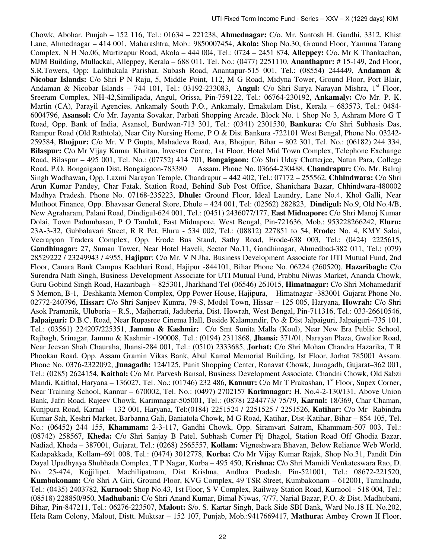Chowk, Abohar, Punjab – 152 116, Tel.: 01634 – 221238, **Ahmednagar:** C/o. Mr. Santosh H. Gandhi, 3312, Khist Lane, Ahmednagar – 414 001, Maharashtra, Mob.: 9850007454, **Akola:** Shop No.30, Ground Floor, Yamuna Tarang Complex, N H No.06, Murtizapur Road, Akola – 444 004, Tel.: 0724 – 2451 874, **Alleppey:** C/o. Mr K Thankachan, MJM Building, Mullackal, Alleppey, Kerala – 688 011, Tel. No.: (0477) 2251110, **Ananthapur:** # 15-149, 2nd Floor, S.R.Towers, Opp: Lalithakala Parishat, Subash Road, Anantapur-515 001, Tel.: (08554) 244449, **Andaman & Nicobar Islands:** C/o Shri P N Raju, 5, Middle Point, 112, M G Road, Midyna Tower, Ground Floor, Port Blair, Andaman & Nicobar Islands - 744 101, Tel.: 03192-233083, Angul: C/o Shri Surya Narayan Mishra, 1<sup>st</sup> Floor, Sreeram Complex, NH-42,Similipada, Angul, Orissa, Pin-759122, Tel.: 06764-230192, **Ankamaly:** C/o Mr. P. K. Martin (CA), Parayil Agencies, Ankamaly South P.O., Ankamaly, Ernakulam Dist., Kerala – 683573, Tel.: 0484- 6004796, **Asansol:** C/o Mr. Jayanta Sovakar, Parbati Shopping Arcade, Block No. 1 Shop No 3, Ashram More G T Road, Opp. Bank of India, Asansol, Burdwan-713 301, Tel.: (0341) 2301530, **Bankura:** C/o Shri Subhasis Das, Rampur Road (Old Rathtola), Near City Nursing Home, P O & Dist Bankura -722101 West Bengal, Phone No. 03242- 259584, **Bhojpur:** C/o Mr. V P Gupta, Mahadeva Road, Ara, Bhojpur, Bihar – 802 301, Tel. No.: (06182) 244 334, **Bilaspur:** C/o Mr Vijay Kumar Khaitan, Investor Centre, 1st Floor, Hotel Mid Town Complex, Telephone Exchange Road, Bilaspur – 495 001, Tel. No.: (07752) 414 701, **Bongaigaon:** C/o Shri Uday Chatterjee, Natun Para, College Road, P.O. Bongaigaon Dist. Bongaigaon-783380 Assam. Phone No. 03664-230488, **Chandrapur:** C/o. Mr. Balraj Singh Wadhawan, Opp. Laxmi Narayan Temple, Chandrapur – 442 402, Tel.: 07172 – 255562, **Chhindwara:** C/o Shri Arun Kumar Pandey, Char Fatak, Station Road, Behind Sub Post Office, Shanichara Bazar, Chhindwara-480002 Madhya Pradesh. Phone No. 07168-235223, **Dhule:** Ground Floor, Ideal Laundry, Lane No.4, Khol Galli, Near Muthoot Finance, Opp. Bhavasar General Store, Dhule – 424 001, Tel: (02562) 282823, **Dindigul:** No.9, Old No.4/B, New Agraharam, Palani Road, Dindigul-624 001, Tel.: (0451) 2436077/177, **East Midnapore:** C/o Shri Manoj Kumar Dolai, Town Padumbasan, P O Tamluk, East Midnapore, West Bengal, Pin-721636, Mob.: 953228266242, **Eluru:**  23A-3-32, Gubbalavari Street, R R Pet, Eluru - 534 002, Tel.: (08812) 227851 to 54, **Erode:** No. 4, KMY Salai, Veerappan Traders Complex, Opp. Erode Bus Stand, Sathy Road, Erode-638 003, Tel.: (0424) 2225615, **Gandhinagar:** 27, Suman Tower, Near Hotel Haveli, Sector No.11, Gandhinagar, Ahmedbad-382 011, Tel.: (079) 28529222 / 23249943 / 4955, **Hajipur**: C/o Mr. V N Jha, Business Development Associate for UTI Mutual Fund, 2nd Floor, Canara Bank Campus Kachhari Road, Hajipur ‐844101, Bihar Phone No. 06224 (260520), **Hazaribagh:** C/o Surendra Nath Singh, Business Development Associate for UTI Mutual Fund, Prabhu Niwas Market, Ananda Chowk, Guru Gobind Singh Road, Hazaribagh – 825301, Jharkhand Tel (06546) 261015, **Himatnagar:** C/o Shri Mohamedarif S Memon, B-1, Deshkanta Memon Complex, Opp Power House, Hajipura, Himatnagar -383001 Gujarat Phone No. 02772-240796, **Hissar:** C/o Shri Sanjeev Kumra, 79-S, Model Town, Hissar – 125 005, Haryana, **Howrah:** C/o Shri Asok Pramanik, Uluberia – R.S., Majherrati, Jaduberia, Dist. Howrah, West Bengal, Pin-711316, Tel.: 033-26610546, **Jalpaiguri:** D.B.C. Road, Near Rupasree Cinema Hall, Beside Kalamandir, Po & Dist Jalpaiguri, Jalpaiguri–735 101, Tel.: (03561) 224207/225351, **Jammu & Kashmir:** C/o Smt Sunita Malla (Koul), Near New Era Public School, Rajbagh, Srinagar, Jammu & Kashmir -190008, Tel.: (0194) 2311868, **Jhansi:** 371/01, Narayan Plaza, Gwalior Road, Near Jeevan Shah Chauraha, Jhansi-284 001, Tel.: (0510) 2333685, **Jorhat:** C/o Shri Mohan Chandra Hazarika, T R Phookan Road, Opp. Assam Gramin Vikas Bank, Abul Kamal Memorial Building, Ist Floor, Jorhat 785001 Assam. Phone No. 0376-2322092, **Junagadh:** 124/125, Punit Shopping Center, Ranavat Chowk, Junagadh, Gujarat–362 001, Tel.: (0285) 2624154, **Kaithal:** C/o Mr. Parvesh Bansal, Business Development Associate, Chandni Chowk, Old Sabzi Mandi, Kaithal, Haryana – 136027, Tel. No.: (01746) 232 486, **Kannur:** C/o Mr T Prakashan, 1<sup>st</sup> Floor, Supex Corner, Near Training School, Kannur – 670002, Tel. No.: (0497) 2702157 **Karimnagar:** H. No.4-2-130/131, Above Union Bank, Jafri Road, Rajeev Chowk, Karimnagar-505001, Tel.: (0878) 2244773/ 75/79, **Karnal:** 18/369, Char Chaman, Kunjpura Road, Karnal – 132 001, Haryana, Tel:(0184) 2251524 / 2251525 / 2251526, **Katihar:** C/o Mr Rabindra Kumar Sah, Keshri Market, Barbanna Gali, Baniatola Chowk, M G Road, Katihar, Dist-Katihar, Bihar – 854 105, Tel. No.: (06452) 244 155, **Khammam:** 2-3-117, Gandhi Chowk, Opp. Siramvari Satram, Khammam-507 003, Tel.: (08742) 258567, **Kheda:** C/o Shri Sanjay B Patel, Subhash Corner Pij Bhagol, Station Road Off Ghodia Bazar, Nadiad, Kheda – 387001, Gujarat, Tel.: (0268) 2565557, **Kollam:** Vigneshwara Bhavan, Below Reliance Web World, Kadapakkada, Kollam–691 008, Tel.: (0474) 3012778, **Korba:** C/o Mr Vijay Kumar Rajak, Shop No.31, Pandit Din Dayal Upadhyaya Shubhada Complex, T P Nagar, Korba – 495 450, **Krishna:** C/o Shri Mamidi Venkateswara Rao, D. No. 25-474, Kojjilipet, Machilipatnam, Dist Krishna, Andhra Pradesh, Pin-521001, Tel.: 08672-221520, **Kumbakonam:** C/o Shri A Giri, Ground Floor, KVG Complex, 49 TSR Street, Kumbakonam – 612001, Tamilnadu, Tel.: (0435) 2403782, **Kurnool:** Shop No.43, 1st Floor, S V Complex, Railway Station Road, Kurnool - 518 004, Tel.: (08518) 228850/950, **Madhubani:** C/o Shri Anand Kumar, Bimal Niwas, 7/77, Narial Bazar, P.O. & Dist. Madhubani, Bihar, Pin-847211, Tel.: 06276-223507, **Malout:** S/o. S. Kartar Singh, Back Side SBI Bank, Ward No.18 H. No.202, Heta Ram Colony, Malout, Distt. Muktsar – 152 107, Punjab, Mob.:9417669417, **Mathura:** Ambey Crown II Floor,